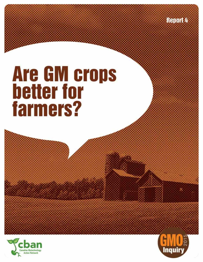**Report 4** 

# **Are GM crops<br>better for<br>farmers?**



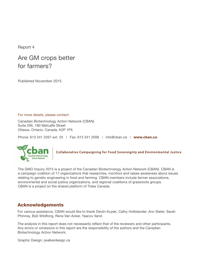Report 4

## Are GM crops better for farmers?

Published November 2015

For more details, please contact:

Canadian Biotechnology Action Network (CBAN) Suite 206, 180 Metcalfe Street Ottawa, Ontario, Canada, K2P 1P5

Phone: 613 241 2267 ext. 25 | Fax: 613 241 2506 | info@cban.ca | www.cban.ca



**Collaborative Campaigning for Food Sovereignty and Environmental Justice** 

The GMO Inquiry 2015 is a project of the Canadian Biotechnology Action Network (CBAN). CBAN is a campaign coalition of 17 organizations that researches, monitors and raises awareness about issues relating to genetic engineering in food and farming. CBAN members include farmer associations, environmental and social justice organizations, and regional coalitions of grassroots groups. CBAN is a project on the shared platform of Tides Canada.

#### Acknowledgements

For various assistance, CBAN would like to thank Devlin Kuyek, Cathy Holtslander, Ann Slater, Sarah Phinney, Bob Wildfong, Rene Van Acker, Yaacov Iland.

The analysis in this report does not necessarily reflect that of the reviewers and other participants. Any errors or omissions in this report are the responsibility of the authors and the Canadian Biotechnology Action Network.

Graphic Design: jwalkerdesign.ca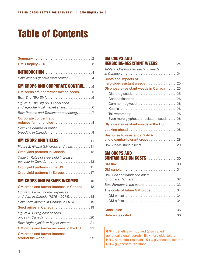# Table of Contents

| GMO Inquiry 2015 3                                                      |
|-------------------------------------------------------------------------|
|                                                                         |
| Box: What is genetic modification?4                                     |
|                                                                         |
| <b>GM CROPS AND CORPORATE CONTROL5</b>                                  |
| GM seeds are not farmer-owned seeds5                                    |
|                                                                         |
| Figure 1: The Big Six: Global seed<br>and agrochemical market share 6   |
| Box: Patents and Terminator technology 7                                |
| <b>Corporate concentration</b>                                          |
| Box: The demise of public                                               |
| breeding in Canada9                                                     |
| <b>GM CROPS AND YIELDS 11</b>                                           |
| Figure 2: Global GM crops and traits 11                                 |
| Crop yield patterns in Canada 12                                        |
| Table 1: Rates of crop yield increase<br>per year in Canada 13          |
| Crop yield patterns in the US 15                                        |
| Crop yield patterns in Europe17                                         |
| <b>GM CROPS AND FARMER INCOMES</b> 18                                   |
| GM crops and farmer incomes in Canada18                                 |
| Figure 3: Farm income, expenses<br>and debt in Canada (1975 - 2014). 18 |
| Box: Farm income in Canada in 201419                                    |
| Seed prices in Canada 19                                                |
| Figure 4: Rising cost of seed                                           |
| Box: Higher yields ≠ higher income 21                                   |
| GM crops and farmer incomes in the US21                                 |
| <b>GM crops and farmer incomes</b><br>around the world 22               |
|                                                                         |

| <b>GM CROPS AND</b>                                             |
|-----------------------------------------------------------------|
| <b>HERBICIDE-RESISTANT WEEDS</b> 24                             |
| Table 2: Glyphosate-resistant weeds                             |
| Costs and impacts of                                            |
| herbicide-resistant weeds 25                                    |
| Glyphosate-resistant weeds in Canada 25                         |
| Giant ragweed25                                                 |
| Canada fleabane26                                               |
| Common ragweed 26                                               |
|                                                                 |
| Tall waterhemp 26                                               |
| Even more glyphosate-resistant weeds26                          |
| Glyphosate-resistant weeds in the US 27                         |
|                                                                 |
| Response to resistance: 2,4-D-<br>and dicamba-tolerant crops 28 |
| Box: Bt-resistant insects 29                                    |
| <b>GM CROPS AND</b>                                             |
| <b>CONTAMINATION COSTS 30</b>                                   |
|                                                                 |
|                                                                 |
| Box: GM contamination costs                                     |
| for organic farmers 32                                          |
| Box: Farmers in the courts 33                                   |
| The costs of future GM crops34                                  |
| GM wheat34                                                      |
|                                                                 |
|                                                                 |
| References cited36                                              |
|                                                                 |

GM = genetically modified (also called genetically engineered)  $Ht = herbicide-tolerant$  $HR = herbicide-resistant$   $Gt = glyphosate-tolerant$ GR = glyphosate-resistant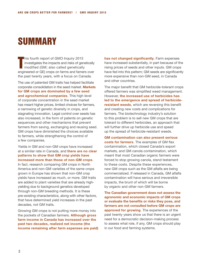# **SUMMARY**

T his fourth report of *GMO Inquiry 2015* investigates the impacts and risks of genetically modified (GM; also called genetically engineered or GE) crops on farms and famers over the past twenty years, with a focus on Canada.

The use of patented GM traits has helped facilitate corporate consolidation in the seed market. **Markets for GM crops are dominated by a few seed and agrochemical companies**. This high level of corporate concentration in the seed market has meant higher prices, limited choices for farmers, a narrowing of genetic diversity in crops, and stagnating innovation. Legal control over seeds has also increased, in the form of patents on genetic sequences and other mechanisms that prevent farmers from saving, exchanging and reusing seed. GM crops have diminished the choices available to farmers, while strengthening the control of a few companies.

Yields in GM and non-GM crops have increased at a similar rate in Canada, and **there are no clear patterns to show that GM crop yields have increased more than those of non-GM crops**.

In fact, research comparing GM crops in North America and non-GM varieties of the same crops grown in Europe has shown that non-GM crop yields have increased as much, or more. GM traits are added to plant varieties that are already highyielding due to background genetics developed through non-GM breeding methods. It is these pre-existing characteristics, along with other factors, that have determined yield increases in the past decades, not GM traits.

Growing GM crops is not putting more money into the pockets of Canadian farmers. **Although gross farm income in Canada has increased over the past two decades, realized net income (the income remaining after farm expenses are paid)**  **has not changed significantly**. Farm expenses have increased substantially, in part because of the rising prices of seeds and other inputs. GM crops have fed into this pattern; GM seeds are significantly more expensive than non-GM seed, in Canada and other countries.

The major benefit that GM herbicide-tolerant crops offered farmers was simplified weed management. However, **the increased use of herbicides has led to the emergence and spread of herbicideresistant weeds**, which are reversing this benefit and creating new costs and complications for farmers. The biotechnology industry's solution to this problem is to sell new GM crops that are tolerant to different herbicides, an approach that will further drive up herbicide use and speed up the spread of herbicide-resistant weeds.

**GM contamination can also present serious costs for farmers**. The examples of GM flax contamination, which closed Canada's export markets, and GM canola contamination, which meant that most Canadian organic farmers were forced to stop growing canola, stand testament to these costs. Despite these experiences, new GM crops such as the GM alfalfa are being commercialized. If released in Canada, GM alfalfa contamination will have serious and irreversible impacts, the brunt of which will be borne by organic and other non-GM farmers.

**The Canadian government does not assess the agronomic and economic impacts of GM crops or evaluate the benefits or risks they pose, and farmers are not consulted before GM crops are approved for growing**. The experiences of the past twenty years show us that there is an urgent need for a democratic decision-making process to assess what role, if any, GM crops should play in our food and farming systems.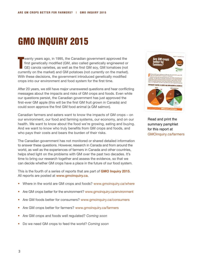# GMO Inquiry 2015

T wenty years ago, in 1995, the Canadian government approved the first genetically modified (GM, also called genetically engineered or GE) canola varieties, as well as the first GM soy, GM tomatoes (not currently on the market) and GM potatoes (not currently on the market). With these decisions, the government introduced genetically modified crops into our environment and food system for the first time.

After 20 years, we still have major unanswered questions and hear conflicting messages about the impacts and risks of GM crops and foods. Even while our questions persist, the Canadian government has just approved the first-ever GM apple (this will be the first GM fruit grown in Canada) and could soon approve the first GM food animal (a GM salmon).

Canadian farmers and eaters want to know the impacts of GM crops – on our environment, our food and farming systems, our economy, and on our health. We want to know about the food we're growing, eating and buying. And we want to know who truly benefits from GM crops and foods, and who pays their costs and bears the burden of their risks.

The Canadian government has not monitored or shared detailed information to answer these questions. However, research in Canada and from around the world, as well as the experiences of farmers in Canada and other countries, helps shed light on the problems with GM over the past two decades. It's time to bring our research together and assess the evidence, so that we can decide whether GM crops have a place in the future of our food system.

This is the fourth of a series of reports that are part of **GMO Inquiry 2015**. All reports are posted at www.gmoinquiry.ca.

- Where in the world are GM crops and foods? www.gmoinquiry.ca/where
- Are GM crops better for the environment? www.gmoinquiry.ca/environment
- Are GM foods better for consumers? www.gmoinquiry.ca/consumers
- Are GM crops better for farmers? www.gmoinquiry.ca/farmers
- Are GM crops and foods well regulated? *Coming soon*
- Do we need GM crops to feed the world? *Coming soon*



Read and print the summary pamphlet for this report at GMOinquiry.ca/farmers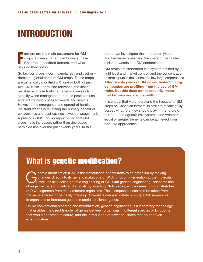# Introduction

**Fernally armers are the main customers for GM**<br>crops. However, after twenty years, have<br>GM crops benefitted farmers, and what crops. However, after twenty years, have GM crops benefitted farmers, and what risks do they pose?

So far, four crops – corn, canola, soy and cotton – dominate global acres of GM crops. These crops are genetically modified with one or both of just two GM traits – herbicide tolerance and insect resistance. These traits came with promises to simplify weed management, reduce pesticide use and reduce crop losses to weeds and insects. However, the emergence and spread of herbicideresistant weeds is reversing the primary benefit of convenience and cost-savings in weed management. A previous *GMO Inquiry* report found that GM crops have increased, rather than decreased herbicide use over the past twenty years. In this

report, we investigate their impact on yields and farmer incomes, and the costs of herbicideresistant weeds and GM contamination.

GM crops are embedded in a system defined by tight legal and market control, and the concentration of farm inputs in the hands of a few large corporations. **After twenty years of GM crops, biotechnology companies are profiting from the use of GM traits, but this does not necessarily mean that farmers are also benefitting**.

It is critical that we understand the impacts of GM crops on Canadian farmers, in order to meaningfully assess what role they should play in the future of our food and agricultural systems, and whether equal or greater benefits can be achieved from non-GM approaches.

## What is genetic modification?

enetic modification (GM) is the introduction of new traits to an organism by making<br>changes directly to its genetic makeup, e.g. DNA, through intervention at the molec<br>level. It's also called genetic engineering or GE. Wit changes directly to its genetic makeup, e.g. DNA, through intervention at the molecular **A** level. It's also called genetic engineering or GE. With genetic engineering, scientists can change the traits of plants and animals by inserting DNA pieces, whole genes, or long stretches of DNA segments from many different organisms. These sequences can also be taken from the same species or be newly made up. Scientists can also delete or swap DNA sequences in organisms or introduce genetic material to silence genes.

Unlike conventional breeding and hybridization, genetic engineering is a laboratory technology that enables the direct transfer of genes between organisms in different species or kingdoms that would not breed in nature, and the introduction of new sequences that do not even exist in nature.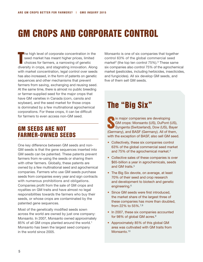# GM CROPS AND CORPORATE CONTROL

T he high level of corporate concentration in the seed market has meant higher prices, limited choices for farmers, a narrowing of genetic diversity in crops, and stagnating innovation. Along with market concentration, legal control over seeds has also increased, in the form of patents on genetic sequences and other mechanisms that prevent farmers from saving, exchanging and reusing seed. At the same time, there is almost no public breeding or farmer-supplied seed for the major crops that have GM varieties in Canada (corn, canola and soybean), and the seed market for those crops is dominated by a few multinational agrochemical corporations. For these crops, it can be difficult for farmers to even access non-GM seed.

## GM seeds are not farmer-owned seeds

One key difference between GM seeds and non-GM seeds is that the gene sequences inserted into GM seeds can be patented. These patents prevent farmers from re-using the seeds or sharing them with other farmers. Globally, these patents are owned by a few multinational seed and agrochemical companies. Farmers who use GM seeds purchase seeds from companies every year and sign contracts with numerous prohibitions and obligations. Companies profit from the sale of GM crops and royalties on GM traits and have almost no legal responsibilities towards the farmers who buy their seeds, or whose crops are contaminated by the patented gene sequences.

Most of the genetically modified seeds sown across the world are owned by just one company: Monsanto. In 2007, Monsanto owned approximately 85% of all GM crops planted around the world.1 Monsanto has been the largest seed company in the world since 2005.

Monsanto is one of six companies that together control 63% of the global commercial seed market<sup>2</sup> (the top ten control  $75\%$ ).<sup>3</sup> These same six companies also control 75% of the agrochemical market (pesticides, including herbicides, insecticides, and fungicides). All six develop GM seeds, and five of them sell GM seeds.

## The "Big Six"

ix major companies are developing<br>
GM crops: Monsanto (US), DuPont (<br>
Syngenta (Switzerland), Dow (US), B GM crops: Monsanto (US), DuPont (US), Syngenta (Switzerland), Dow (US), Bayer (Germany), and BASF (Germany). All of them, with the exception of BASF, also sell GM seed.

- Collectively, these six companies control 63% of the global commercial seed market and 75% of the agrochemical market.<sup>4</sup>
- Collective sales of these companies is over \$65-billion a year in agrochemicals, seeds and GM traits.<sup>5</sup>
- The Big Six devote, on average, at least 70% of their seed and crop research and development to biotech and genetic engineering.<sup>6</sup>
- Since GM seeds were first introduced, the market share of the largest three of these companies has more than doubled, from 22% to 55%.7,8
- In 2007, these six companies accounted for 98% of global GM acres.9
- Approximately 85% of this global GM area was cultivated with GM traits from Monsanto.<sup>10</sup>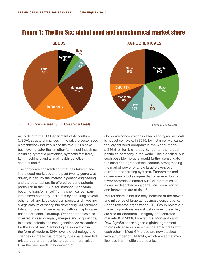

## Figure 1: The Big Six: global seed and agrochemical market share



Source: ETC Group, 2015<sup>11</sup>

According to the US Department of Agriculture (USDA), structural changes in the private-sector seed biotechnology industry since the mid-1990s have been even greater than in other farm input industries, including synthetic pesticides, synthetic fertilizers, farm machinery and animal health, genetics and nutrition.12

The corporate consolidation that has taken place in the seed market over the past twenty years was driven, in part, by the interest in genetic engineering, and the potential profits offered by gene patents in particular. In the 1980s, for instance, Monsanto began to transform itself from a chemical company into a seed company. It did this by acquiring several other small and large seed companies, and investing a large amount of money into developing GM herbicidetolerant crops that were paired with its glyphosatebased herbicide, Roundup. Other companies also invested in seed company mergers and acquisitions, to access patents and seed genetics. As researchers for the USDA say, "Technological innovation in the form of modern, DNA-level biotechnology and changes in intellectual property rules have enabled private-sector companies to capture more value from the new seeds they develop."13

Corporate concentration in seeds and agrochemicals is not yet complete. In 2015, for instance, Monsanto, the largest seed company in the world, made a \$46.5-billion bid to buy Syngenta, the largest pesticide company in the world. This bid failed, but such possible mergers would further consolidate the seed and agrochemical sectors, strengthening the market power of a few large players over our food and farming systems. Economists and government studies agree that whenever four or fewer enterprises control 50% or more of sales, it can be described as a cartel, and competition and innovation are at risk.14

Market share is not the only indicator of the power and influence of large agribusiness corporations. As the research organization ETC Group points out, these corporations are not just competitors – they are also collaborators – in tightly concentrated markets.15 In 2006, for example, Monsanto and Dow AgroSciences signed a global agreement to cross-license or share their patented traits with each other.16 Most GM crops are now stacked with a number of GM traits, which are sometimes licensed from multiple companies.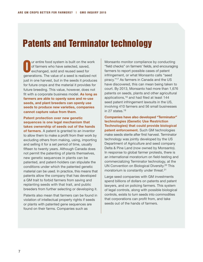# Patents and Terminator technology

O ur entire food system is built on the work of farmers who have selected, saved, exchanged, sold and reused seed for generations. The value of a seed is realized not just in one harvest, but in the seeds it produces for future crops and the material it provides for future breeding. This value, however, does not fit with a corporate business model. **As long as farmers are able to openly save and re-use seeds, and plant breeders can openly use seeds to produce new varieties, companies cannot capture value from them**.

#### **Patent protection over new genetic sequences is one legal mechanism that takes ownership of seeds out of the hands**

**of farmers**. A patent is granted to an inventor to allow them to make a profit from their work by excluding others from making, using, importing and selling it for a set period of time, usually fifteen to twenty years. Although Canada does not permit the patenting of plants themselves, new genetic sequences in plants can be patented, and patent-holders can stipulate the conditions under which the patented genetic material can be used. In practice, this means that patents allow the company that has developed a GM trait to forbid farmers from saving and replanting seeds with that trait, and public breeders from further selecting or developing it.

Patents also mean that farmers can be found in violation of intellectual property rights if seeds or plants with patented gene sequences are found on their farms. Companies such as

Monsanto monitor compliance by conducting "field checks" on farmers' fields, and encouraging farmers to report possible cases of patent infringement, or what Monsanto calls "seed piracy."17 As farmers in Canada and the US have discovered, this can mean being taken to court. By 2013, Monsanto had more than 1,676 patents on seeds, plants and other agricultural applications,18 and had filed at least 144 seed patent infringement lawsuits in the US, involving 410 farmers and 56 small businesses in 27 states.<sup>19</sup>

**Companies have also developed "Terminator" technologies (Genetic Use Restriction Technologies) that could provide biological patent enforcement.** Such GM technologies make seeds sterile after first harvest. Terminator technology was jointly developed by the US Department of Agriculture and seed company Delta & Pine Land (now owned by Monsanto). In response to global farmer protests, there is an international moratorium on field-testing and commercializing Terminator technology, at the UN Convention on Biological Diversity.20 This moratorium is constantly under threat.<sup>21</sup>

Large seed companies with GM investments spend billions of dollars on patents and patent lawyers, and on policing farmers. This system of legal controls, along with possible biological controls, exists to turn seeds into commodities that corporations can profit from, and take seeds out of the hands of farmers.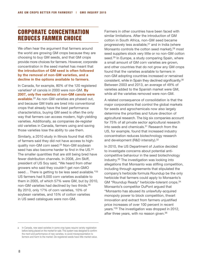## Corporate concentration reduces farmer choice

We often hear the argument that farmers around the world are growing GM crops because they are choosing to buy GM seeds, and that GM crops provide more choices for farmers. However, corporate concentration in the seed market has meant that **the introduction of GM seed is often followed by the removal of non-GM varieties, and a decline in the options available to farmers**.

In Canada, for example, 80% of the 120 registered varieties<sup>a</sup> of canola in 2000 were non-GM. By **2007, only five varieties of non-GM canola were available**. 22 As non-GM varieties are phased out, and because GM traits are bred into conventional crops that already have the best performance characteristics, buying GM seed is often the only way that farmers can access modern, high-yielding varieties. Additionally, as companies de-register old varieties in Canada, farmers using and saving those varieties lose the ability to use them.

Similarly, a 2010 study in Illinois found that 40% of farmers said they did not have access to highquality non-GM corn seed.23 Non-GM soybean seed has also become harder to find in the US.<sup>24</sup> The smaller quantities that are still being bred have fewer distribution channels. In 2008, Jim Skiff, president of US Soy said, "We heard from other growers who said they couldn't get non-GMO seed... There is getting to be less seed available."<sup>25</sup> US farmers had 9,000 corn varieties available to them in 2005, of which 57% were GM, but by 2010, non-GM varieties had declined by two thirds.26 By 2010, only 17% of corn varieties, 10% of soybean varieties, and 15% of cotton varieties in US seed catalogues were non-GM.

Farmers in other countries have been faced with similar limitations. After the introduction of GM cotton in South Africa, non-GM seed became progressively less available, $27$  and in India (where Monsanto controls the cotton seed market),<sup>28</sup> most seed suppliers stock very little or no non-GM cotton seed.<sup>29</sup> In Europe, a study comparing Spain, where a small amount of GM corn varieties are grown, and other countries that do not grow any GM crops found that the varieties available to farmers in non-GM adopting countries increased or remained consistent, while in Spain they declined significantly.30 Between 2003 and 2013, an average of 49% of varieties added to the Spanish market were GM, while all the varieties removed were non-GM.

A related consequence of consolidation is that the major corporations that control the global markets for seeds and agrochemicals now also largely determine the priorities and future direction of agricultural research. The big six companies account for 75% of all private sector agricultural research into seeds and chemicals.31 Research from the US, for example, found that increased industry concentration reduces biotechnology research and development (R&D intensity).32

In 2010, the US Department of Justice decided to investigate concerns about potential anticompetitive behaviour in the seed biotechnology industry.33 The investigation was looking into allegations that Monsanto was stifling competition, including through agreements that stipulated the company's herbicide formula Roundup be the only herbicide that farmers could apply to Monsanto's GM "Roundup Ready" herbicide-tolerant crops.34 Monsanto's competitor DuPont argued that "Monsanto has abused its unlawfully-acquired monopoly power to block competition, thwart innovation and extract from farmers unjustified price increases of over 100 percent in recent years."35 The investigation was dropped in 2012, after three years, with no reason given.<sup>36</sup>

In Canada, new seed varieties in some crop types require variety registration before being placed on the market for sale. This system was designed to confirm the merit and performance of new varieties, to avoid misrepresentation to farmers and harm to the market. De-registered seeds have little market-value.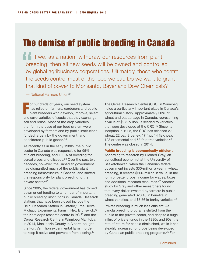# The demise of public breeding in Canada

If we, as a nation, withdraw our resources from plant breeding, then all new seeds will be owned and controlled by global agribusiness corporations. Ultimately, those who control the seeds control most of the food we eat. Do we want to grant that kind of power to Monsanto, Bayer and Dow Chemicals?

— National Farmers Union37

For hundreds of years, our seed system<br>has relied on farmers, gardeners and pu<br>plant breeders who develop, improve, s has relied on farmers, gardeners and public plant breeders who develop, improve, select and save varieties of seeds that they exchange, sell and reuse. Most of the crop varieties that form the base of our food system were developed by farmers and by public institutions funded largely by the government, and considered public goods.38

As recently as in the early 1980s, the public sector in Canada was responsible for 95% of plant breeding, and 100% of breeding for cereal crops and oilseeds.39 Over the past two decades, however, the Canadian government has dismantled much of the public plant breeding infrastructure in Canada, and shifted the responsibility for plant breeding to the private sector.40

Since 2005, the federal government has closed down or cut funding to a number of important public breeding institutions in Canada. Research stations that have been closed include the Delhi Research Station in Ontario, <sup>41</sup> the Herve J. Michaud Experimental Farm in New Brunswick,42 the Kamloops research centre in  $BC<sub>1</sub><sup>43</sup>$  and the Cereal Research Centre in Winnipeg Manitoba. In 2014, Mackenzie County in Alberta bought the Fort Vermilion experimental farm in order to keep it active and prevent it from closing.<sup>44</sup>

The Cereal Research Centre (CRC) in Winnipeg holds a particularly important place in Canada's agricultural history. Approximately 50% of wheat and oat acreage in Canada, representing a value of \$2.5-billion, is seeded to varieties that were developed at the CRC.45 Since its inception in 1925, the CRC has released 27 wheat, 22 oat, 2 barley, 17 flax, 14 field pea, 123 ornamental and 53 fruit tree varieties.<sup>46</sup> The centre was closed in 2014.

#### **Public breeding is economically efficient**.

According to research by Richard Gray, an agricultural economist at the University of Saskatchewan, when the Canadian federal government invests \$30-million a year in wheat breeding, it creates \$600-million in value, in the form of better crops, income for wages, taxes, and additional research resources.47 Another study by Gray and other researchers found that every dollar invested by farmers in public breeding generated \$20.40 in benefits in wheat varieties, and \$7.56 in barley varieties.<sup>48</sup>

Private breeding is much less efficient. As canola breeding programs shifted from the public to the private sector, and despite a huge influx of private funds in the 1980s and 90s, the rate of return for canola diminished, while it has steadily increased for crops being developed by Canadian public breeding programs.49 For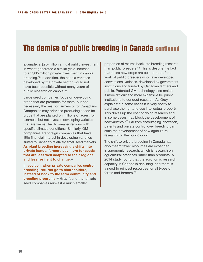## The demise of public breeding in Canada continued

example, a \$25-million annual public investment in wheat generated a similar yield increase to an \$80-million private investment in canola breeding.50 In addition, the canola varieties developed by the private sector would not have been possible without many years of public research on canola.<sup>51</sup>

Large seed companies focus on developing crops that are profitable for them, but not necessarily the best for farmers or for Canadians. Companies may prioritize producing seeds for crops that are planted on millions of acres, for example, but not invest in developing varieties that are well-suited to smaller regions with specific climatic conditions. Similarly, GM companies are foreign companies that have little financial interest in developing varieties suited to Canada's relatively small seed markets. **As plant breeding increasingly shifts into private hands, farmers pay more for seeds that are less well adapted to their regions and less resilient to change**. 52

**In addition, when private companies control breeding, returns go to shareholders, instead of back to the farm community and breeding programs**. 53 Gray found that private seed companies reinvest a much smaller

proportion of returns back into breeding research than public breeders.<sup>54</sup> This is despite the fact that these new crops are built on top of the work of public breeders who have developed conventional varieties, developed by government institutions and funded by Canadian farmers and public. Patented GM technology also makes it more difficult and more expensive for public institutions to conduct research. As Gray explains: "In some cases it is very costly to purchase the rights to use intellectual property. This drives up the cost of doing research and in some cases may block the development of new varieties."55 Far from encouraging innovation, patents and private control over breeding can stifle the development of new agricultural research for the public good.

The shift to private breeding in Canada has also meant fewer resources are expended in agronomic research, which is research on agricultural practices rather than products. A 2014 study found that the agronomic research capacity in Canada is declining, and there is a need to reinvest resources for all types of farms and farmers.<sup>56</sup>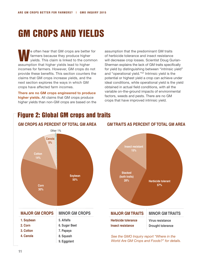# GM CROPS AND YIELDS

e often hear that GM crops are better for<br>
farmers because they produce higher<br>
yields. This claim is linked to the common farmers because they produce higher assumption that higher yields lead to higher incomes for farmers. However, GM crops do not provide these benefits. This section counters the claims that GM crops increase yields, and the next section explores the ways in which GM crops have affected farm incomes.

**There are no GM crops engineered to produce higher yields.** All claims that GM crops produce higher yields than non-GM crops are based on the assumption that the predominant GM traits of herbicide tolerance and insect resistance will decrease crop losses. Scientist Doug Gurian-Sherman explains the lack of GM traits specifically for yield by distinguishing between "intrinsic yield" and "operational yield."57 Intrinsic yield is the potential or highest yield a crop can achieve under ideal conditions, while operational yield is the yield obtained in actual field conditions, with all the variable on-the-ground impacts of environmental factors, weeds and pests. There are no GM crops that have improved intrinsic yield.

## Figure 2: Global GM crops and traits



#### **GM traits as percent of total GM area**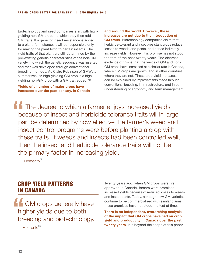Biotechnology and seed companies start with highyielding non-GM crops, to which they then add GM traits. If a gene for insect resistance is added to a plant, for instance, it will be responsible only for making the plant toxic to certain insects. The yield traits of that plant are still determined by the pre-existing genetic characteristics of the non-GM variety into which the genetic sequence was inserted, and that was developed through conventional breeding methods. As Claire Robinson of GMWatch summarizes, "A high-yielding GM crop is a highyielding non-GM crop with a GM trait added."58

**Yields of a number of major crops have increased over the past century, in Canada** 

#### **and around the world. However, these increases are not due to the introduction of**

**GM traits**. Biotechnology companies claim that herbicide-tolerant and insect-resistant crops reduce losses to weeds and pests, and hence indirectly increase yields. However, this promise has not stood the test of the past twenty years. The clearest evidence of this is that the yields of GM and non-GM crops have increased at a similar rate in Canada, where GM crops are grown, and in other countries where they are not. These crop yield increases can be explained by improvements made through conventional breeding, in infrastructure, and in our understanding of agronomy and farm management.

**The degree to which a farmer enjoys increased yields** because of insect and herbicide tolerance traits will in large part be determined by how effective the farmer's weed and insect control programs were before planting a crop with these traits. If weeds and insects had been controlled well, then the insect and herbicide tolerance traits will not be the primary factor in increasing yield.

 $-$  Monsanto<sup>59</sup>

## Crop yield patterns in Canada

**GM** crops generally have higher yields due to both breeding and biotechnology.

 $-$ Monsanto $60$ 

Twenty years ago, when GM crops were first approved in Canada, famers were promised increased yields because of reduced losses to weeds and insect pests. Today, although new GM varieties continue to be commercialized with similar claims, these promises have not stood the test of time.

**There is no independent, overarching analysis of the impact that GM crops have had on crop yield and productivity in Canada over the past twenty years**. It is beyond the scope of this paper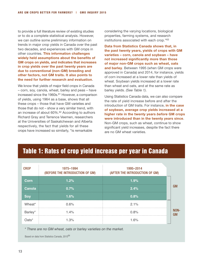to provide a full literature review of existing studies or to do a complete statistical analysis. However, we can outline some preliminary information on trends in major crop yields in Canada over the past two decades, and experiences with GM crops in other countries. **This information challenges widely held assumptions about the benefits of GM crops on yields, and indicates that increases in crop yields over the past twenty years are due to conventional (non-GM) breeding and other factors, not GM traits. It also points to the need for further research and evaluation**.

We know that yields of major field crops in Canada – corn, soy, canola, wheat, barley and peas – have increased since the 1960s.<sup>61</sup> However, a comparison of yields, using 1964 as a base, shows that all these crops – those that have GM varieties and those that do not – show a very similar trend, with an increase of about 60%.62 According to authors Richard Gray and Terrence Veemen, researchers at the Universities of Saskatchewan and Alberta respectively, the fact that yields for all these crops have increased so similarly, "is remarkable

considering the varying locations, biological properties, farming systems, and research institutions associated with each crop."63

**Data from Statistics Canada shows that, in the past twenty years, yields of crops with GM varieties – corn, canola and soybean – have not increased significantly more than those of major non-GM crops such as wheat, oats and barley**. Between 1995 (when GM crops were approved in Canada) and 2014, for instance, yields of corn increased at a lower rate than yields of wheat. Soybean yields increased at a lower rate than wheat and oats, and at the same rate as barley yields. *(See Table 1)*.

Using Statistics Canada data, we can also compare the rate of yield increase before and after the introduction of GM traits. For instance, **in the case of soybean, average crop yields increased at a higher rate in the twenty years** *before* **GM crops were introduced than in the twenty years since**. Non-GM crops, such as wheat, continue to show significant yield increases, despite the fact there are no GM wheat varieties.

## Table 1: Rates of crop yield increase per year in Canada

| <b>CROP</b> | 1975-1994<br>(BEFORE THE INTRODUCTION OF GM) | 1995-2014<br>(AFTER THE INTRODUCTION OF GM) |     |
|-------------|----------------------------------------------|---------------------------------------------|-----|
| Corn        | 1.2%                                         | 1.9%                                        |     |
| Canola      | 0.7%                                         | 2.4%                                        | GIM |
| <b>So</b>   | 1.6%                                         | 0.8%                                        |     |
| Wheat*      | 0.6%                                         | 2.1%                                        |     |
| Barley*     | 1.4%                                         | 0.8%                                        | GM  |
| ี<br>วลtร*  | 1.3%                                         | 1.6%                                        |     |

\* There are no GM wheat, oats or barley varieties on the market.

Based on data from Statistics Canada, 2015<sup>64</sup>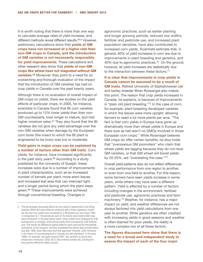It is worth noting that there is more than one way to calculate average rates of yield increase, and different methods reveal different results.<sup>65,b</sup> However, preliminary calculations show that **yields of GM crops have not increased at a higher rate than non-GM crops in Canada, and the introduction of GM varieties is not necessarily responsible for yield improvements**. These calculations and other research also show that **yields of non-GM crops like wheat have not stagnated without GM varieties**. 66 Moreover, they point to a need for an overarching and thorough evaluation of the impact that the introduction of GM varieties has had on crop yields in Canada over the past twenty years.

Although there is no evaluation of overall impact of GM crops on yields, there are studies on the yield effects of particular crops. In 2005, for instance, scientists in Canada found that Bt corn varieties produced up to 12% lower yields than their non-GM counterparts, took longer to mature, and had higher moisture rates.<sup>67</sup> They also found that the Bt varieties did not give any yield advantage over the non-GM varieties when damage by the European corn borer (the insect to which the Bt plant is engineered to be toxic) was low to moderate.

#### **Yield gains in major crops can be explained by a number of factors other than GM traits**. Corn

yields, for instance, have increased significantly in the past sixty years. $68$  According to a study published by the University of Guelph, these increases were due to a number of improvements in plant characteristics, such as an increased number of kernels per plant, more erect leaves and increased leaf area that can intercept light, and a longer period during which the plant stays green.69 These improvements were achieved through conventional breeding. Changes in

agronomic practices, such as earlier planting and longer growing periods, reduced row widths, fertilizer and pesticide use, and increased plant population densities, have also contributed to increased corn yields. Scientists estimate that, in general, 60% of yield increases in corn are due to improvements in plant breeding and genetics, and 40% due to agronomic practices.70 On the ground, however, all yield increases are realistically due to the interaction between these factors.71

#### **It is clear that improvements in crop yields in Canada cannot be assumed to be a result of**

**GM traits**. Retired University of Saskatchewan oat and barley breeder Brian Rossangel also makes this point. The reason that crop yields increased in Canada, he explains, is because of improvements in "plain old plant breeding."72 In the case of corn, for example, plant breeding developed varieties in which the leaves were more upright, allowing farmers to seed a lot more plants per acre. "The fact is that corn yields in Europe have gone up dramatically more than wheat yields in Europe and there sure as hell aren't no GMOs involved in those European corn crops." While Rossnagel believes GM crops do offer certain benefits, he also holds that "overzealous GM promoters" who claim that wheat yields are lagging because they do not have GM varieties, or that GM wheat will boost yields by 20-25%, are "overstating the case."73

Overall yield patterns also do not reflect differences in crop performance from one region to another, or even from one field to another. For this reason, some farmers have seen yields increase in some years, while others may have seen a different pattern. Yield is affected by a number of factors including changes in the environment, fertiliser and pesticide use, agronomic practices and farm machinery.74 Weather, for instance, has a major impact on yield, and weather differences are not always factored into yield calculations from one year to another. While genetics are often credited with increasing yields in good seasons and weather is often blamed for poor yields, the reality is a more complex mix of all these factors.

#### **The figures discussed here show that there is a need for a broad and independent study to assess the impact of each of the four major**

b The percentages discussed above are the result of exponential curve fitting analysis. When the same data are analyzed with a linear regression model, we see that corn yields have increased by 2.38 bushels per acre since 1995, in comparison to 1.18 bushels per acre in the twenty years before GM crops were introduced. In the past twenty years, wheat yields have increased by 0.80 bushels/acre on average, while canola yields have increased by 0.69 bushels/ acre. The results are affected by typical yields for each crop and the time periods considered. In this research, we have considered the twenty-year periods before and after 1995, when GM crops were first approved. However, other moments in the history of crop development in Canada are also significant. In the early 1980s, for example, and again around 2000, new varieties of canola and wheat were introduced. (Graf. 2013. See endnote number 66). Dividing the time periods differently affects results.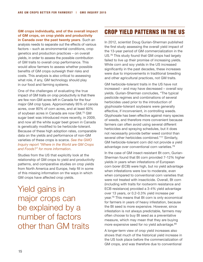#### **GM crops individually, and of the overall impact of GM crops, on crop yields and productivity in Canada over the past twenty years**. Such an

analysis needs to separate out the effects of various factors – such as environmental conditions, crop genetics and production practices – on overall yields, in order to assess the possible contribution of GM traits to overall crop performance. This would allow farmers to assess whether possible benefits of GM crops outweigh their risks and costs. This analysis is also critical to assessing what role, if any, GM technology should play in our food and farming systems.

One of the challenges of evaluating the true impact of GM traits on crop productivity is that there are few non-GM acres left in Canada for the four major GM crop types. Approximately 95% of canola acres, over 80% of corn acres, and at least 60% of soybean acres in Canada are now GM.75 GM sugar beet was introduced more recently, in 2009, and now all the white sugar beet grown in Canada is genetically modified to be herbicide-tolerant. Because of these high adoption rates, comparable data on the yields and performance of non-GM varieties of these crops is scarce. *See the GMO Inquiry report "Where in the World are GM Crops and Foods?" for more information*.

Studies from the US that explicitly look at the relationship of GM crops to yield and productivity patterns, and comparative studies on crop yields from North America and Europe, help fill in some of this missing information on the ways in which GM crops have affected crop yields.

Yield gains in major crops can be explained by a number of factors other than GM traits

## Crop yield patterns in the US

In 2012, scientist Doug Gurian-Sherman published the first study assessing the overall yield impact of the 13-year period of GM commercialization in the US.76 This study found that GM crops had largely failed to live up their promise of increasing yields. While corn and soy yields in the US increased significantly in the past decades, these increases were due to improvements in traditional breeding and other agricultural practices, not GM traits.

GM herbicide-tolerant traits in the US have not increased – and may have decreased – overall soy yields. Gurian-Sherman concludes, "The typical pesticide regimes and combinations of several herbicides used prior to the introduction of glyphosate-tolerant soybeans were generally effective, if inconvenient, in controlling weeds. Glyphosate has been effective against many species of weeds, and therefore more convenient because farmers can often avoid using several different herbicides and spraying schedules, but it does not necessarily provide better weed control than several other herbicides combined."<sup>77</sup> Similarly, GM herbicide-tolerant corn did not provide a yield advantage over conventional corn varieties.78

In the case of GM insect-resistant Bt corn, Gurian-Sherman found that Bt corn provided 7-12% higher yields in years when infestations of European corn borer (ECB) were high, but no yield advantage when infestations were low to moderate, even when compared to conventional corn varieties that were not treated with insecticide. Overall, Bt corn (including with traits for rootworm resistance and ECB resistance) provided a 3-4% yield advantage over 13 years, or 0.2-0.3% yield increase per year.79 This means that Bt corn is only economical for farmers in years of heavy infestation, because the Bt seed is more expensive. However, since infestation is not always predictable, farmers may often choose to buy Bt seed as a preventative measure, which may mean that they are buying more expensive seed for no yield advantage.80

A longer-term view of crop yield increases also shows that much of the historical yield increase in the US took place before the commercialization of GM crops, and was therefore due to conventional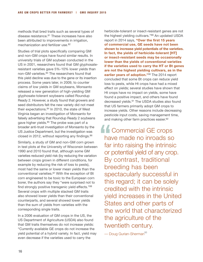methods that bred traits such as several types of disease resistance.81 These increases have also been attributed to improvements in irrigation. mechanization and fertilizer use.82

Studies of trial plots specifically comparing GM and non-GM crops have found similar results. In university trials of GM soybean conducted in the US in 2001, researchers found that GM glyphosateresistant varieties gave 5%-10% lower yields than non-GM varieties.<sup>83</sup> The researchers found that this yield decline was due to the gene or its insertion process. Some years later, in 2009, to counter claims of low yields in GM soybeans, Monsanto released a new generation of high-yielding GM glyphosate-tolerant soybeans called Roundup Ready 2. However, a study found that growers and seed distributors felt the new variety did not meet their expectations.<sup>84</sup> In 2010, the state of West Virginia began an investigation of Monsanto for falsely advertising that Roundup Ready 2 soybeans gave higher yields.<sup>85</sup> The probe was part of a broader anti-trust investigation of Monsanto by the US Justice Department, but the investigation was closed in 2012, without reporting any findings.<sup>86</sup>

Similarly, a study of GM and non-GM corn grown in test plots at the University of Wisconsin between 1990 and 2010 found that, although some GM varieties reduced yield risk (by reducing the variation between crops grown in different conditions, for example by reducing the risk of loss to pests), most had the same or lower mean yields than the conventional varieties.87 With the exception of Bt corn engineered to be toxic to the European corn borer, the authors say they "were surprised not to find strongly positive transgenic yield effects."88 Several crops with multiple stacked GM traits also showed lower yields than their conventional counterparts, and several showed lower yields than the sum of yields from varieties with the corresponding single traits.

In a 2006 evaluation of GM crops in the US, the US Department of Agriculture (USDA) also found that GM traits themselves do not increase yields: "Currently available GE crops do not increase the yield potential of a hybrid variety. In fact, yield may even decrease if the varieties used to carry the

herbicide-tolerant or insect-resistant genes are not the highest yielding cultivars."89 An updated USDA report in 2014 says, **"Over the first 15 years of commercial use, GE seeds have not been shown to increase yield potentials of the varieties. In fact, the yields of herbicide-tolerant [HT] or insect-resistant seeds may be occasionally lower than the yields of conventional varieties if the varieties used to carry the HT or Bt genes are not the highest yielding cultivars, as in the earlier years of adoption."**90 The 2014 report concluded that some Bt crops can reduce yield loss to pests, while Ht crops have had a mixed effect on yields; several studies have shown that Ht crops have no impact on yields, some have found a positive impact, and others have found decreased yields.91 The USDA studies also found that US farmers primarily adopt GM crops to increase yields. Other reasons include decreasing pesticide input costs, saving management time, and making other farm practices easier.92

**11** Commercial GE crops have made no inroads so far into raising the intrinsic or potential yield of any crop. By contrast, traditional breeding has been spectacularly successful in this regard; it can be solely credited with the intrinsic yield increases in the United States and other parts of the world that characterized the agriculture of the twentieth century.

— Doug Gurian-Sherman<sup>93</sup>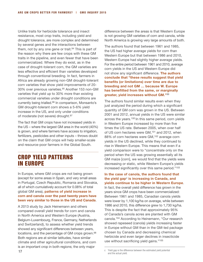Unlike traits for herbicide tolerance and insect resistance, most crop traits, including yield and drought tolerance, are more complex and determined by several genes and the interactions between them, not by any one gene or trait. $94$  This is part of the reason why there are few crops with these GM traits in the pipeline, and even fewer that have been commercialized. Where they do exist, as in the case of drought-tolerant corn, the GM varieties are less effective and efficient than varieties developed through conventional breeding. In fact, farmers in Africa are already growing non-GM drought-tolerant corn varieties that show yield improvements of 20- 30% over previous varieties.95 Another 153 non-GM varieties that yield up to 30% more than existing commercial varieties under drought conditions are currently being trialled.96 In comparison, Monsanto's GM drought-tolerant corn shows a 5-6% yield increase in the US, and only under conditions of moderate (not severe) drought.<sup>97</sup>

The fact that GM crops have not increased yields in the US – where the largest GM area in the world (40%) is grown, and where farmers have access to irrigation, fertilizers, pesticides and other inputs – throws doubt on the claim that GM crops will help smaller-scale and resource-poor farmers in the Global South.

## Crop Yield patterns in Europe

In Europe, where GM crops are not being grown (except for some areas in Spain, and very small areas in Portugal, Czech Republic, Romania and Slovakia, all of which cumulatively account for 0.08% of total global GM area), **patterns of yield increase in corn and canola over the past twenty years have been very similar to those in the US and Canada**.

A 2013 study by Jack Heinemann and others compared overall yield trends for corn and canola in North America and Western Europe (Austria, Belgium-Luxembourg, France, Germany, Netherlands and Switzerland), to assess whether yield trends showed any significant differences between years, locations, and the percentage of GM crops grown.<sup>98</sup> Both regions are at similar latitudes, have similar climate and other agricultural conditions, and corn is an important crop in both regions; the only major

difference between the areas is that Western Europe is not growing GM varieties of corn and canola, while North America is growing very large amounts of both.

The authors found that between 1961 and 1985, the US had higher average yields for corn than Western Europe but that between 1986 and 2010, Western Europe had slightly higher average yields. For the entire period between 1961 and 2010, average corn yields in the US and Western Europe did not show any significant difference. **The authors conclude that "these results suggest that yield benefits (or limitations) over time are due to breeding and not GM … because W. Europe has benefitted from the same, or marginally greater, yield increases without GM."**<sup>99</sup>

The authors found similar results even when they just analyzed the period during which a significant quantity of GM corn was grown in the US. Between 2001 and 2012, annual yields in the US were similar across the years.100 In this same period, corn yields in Western Europe increased by more than five times the US rate. Between 2005, when over half of US corn hectares were GM,<sup>101</sup> and 2012, when 88% of corn hectares were GM,102 average corn yields in the US declined, while they continued to rise in Western Europe. This means that even if a yield comparison were to "concentrate only on the period when the US was growing essentially all its GM maize [corn], we would find that the yields were decreasing or static, while Western Europe's yields increased significantly over this same period."103

**In the case of canola, the authors found that the yield gap**<sup>c</sup> **is increasing in Canada, and yields continue to be higher in Western Europe**.

In fact, the overall yield difference has grown in the years since GM crops have been commercialized: Between 1961 and 1985, Canadian canola yields were lower by 1,100 kg/ha on average, while between 1986 and 2010, this difference grew to 1,730 kg/ha. This is despite the fact that approximately 95% of Canada's canola acres are planted with GM canola.104 According to Heinemann, "Our research showed rapeseed (canola) yields increasing faster in Europe without GM than in the GM-led package chosen by Canada and decreasing chemical herbicide and even larger declines in insecticide use without sacrificing yield gains."105

c Yield gap is the difference between the estimated yield potential and the actual yield.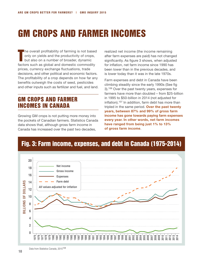# GM CROPS AND FARMER INCOMES

T he overall profitability of farming is not based only on yields and the productivity of crops, but also on a number of broader, dynamic factors such as global and domestic commodity prices, currency exchange fluctuations, trade decisions, and other political and economic factors. The profitability of a crop depends on how far any benefits outweigh the costs of seed, pesticides and other inputs such as fertilizer and fuel, and land.

## GM crops and farmer incomes in Canada

Growing GM crops is not putting more money into the pockets of Canadian farmers. Statistics Canada data shows that, although gross farm income in Canada has increased over the past two decades,

realized net income (the income remaining after farm expenses are paid) has not changed significantly. As figure 3 shows, when adjusted for inflation, net farm income since 1990 has been lower than in the previous decades, and is lower today than it was in the late 1970s.

Farm expenses and debt in Canada have been climbing steadily since the early 1990s (See fig 3).106 Over the past twenty years, expenses for farmers have more than doubled – from \$25-billion in 1995 to \$50-billion in 2014 (not adjusted for inflation).107 In addition, farm debt has more than tripled in the same period. **Over the past twenty years, between 87% and 99% of gross farm income has gone towards paying farm expenses every year. In other words, net farm incomes have ranged from being just 1% to 13% of gross farm income**.

## Fig. 3: Farm income, expenses, and debt in Canada (1975-2014)

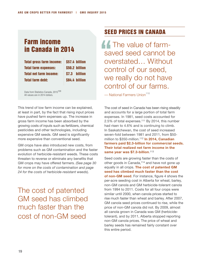## Farm income in Canada in 2014

| <b>Total gross farm income:</b> | \$57.4 billion |
|---------------------------------|----------------|
| <b>Total farm expenses:</b>     | \$50.2 billion |
| <b>Total net farm income:</b>   | \$7.3 billion  |
| <b>Total farm debt:</b>         | \$84.4 billion |

Data from Statistics Canada, 2015<sup>109</sup> All values are in 2014 dollars.

This trend of low farm income can be explained, at least in part, by the fact that rising input prices have pushed farm expenses up. The increase in gross farm income has been absorbed by the growing costs of inputs such as fertilizers, chemical pesticides and other technologies, including expensive GM seeds. GM seed is significantly more expensive than conventional seed.

GM crops have also introduced new costs, from problems such as GM contamination and the faster evolution of herbicide-resistant weeds. These costs threaten to reverse or eliminate any benefits that GM crops may have offered farmers. *(See page 30 for more on the costs of contamination and page 24 for the costs of herbicide-resistant weeds*).

The cost of patented GM seed has climbed much faster than the cost of non-GM seed

## Seed Prices in Canada

**11** The value of farmsaved seed cannot be overstated… Without control of our seed, we really do not have control of our farms.

 $-$  National Farmers Union<sup>110</sup>

The cost of seed in Canada has been rising steadily and accounts for a large portion of total farm expenses. In 1981, seed costs accounted for 2.5% of total expenses.111 By 2014, this number had risen to 4.6% and is continuing to climb. In Saskatchewan, the cost of seed increased seven-fold between 1981 and 2011, from \$50 million to \$350-million.112 **In 2014, Canadian farmers paid \$2.3-billion for commercial seeds. Their total realized net farm income in the same year was \$7.3-billion**. 113

Seed costs are growing faster than the costs of other goods in Canada,<sup>114</sup> and have not gone up equally in all crops. **The cost of patented GM seed has climbed much faster than the cost of non-GM seed.** For instance, figure 4 shows the per-acre seeding cost in Alberta for wheat, barley, non-GM canola and GM herbicide-tolerant canola from 1994 to 2011. Costs for all four crops were similar until 2000, when canola prices started to rise much faster than wheat and barley. After 2007, GM canola seed prices continued to rise, while the price of non-GM canola did not. By 2009, almost all canola grown in Canada was GM (herbicidetolerant), and by 2011, Alberta stopped reporting non-GM canola prices. The price of wheat and barley seeds has remained fairly constant over this entire period.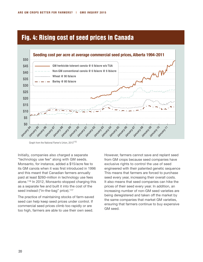## Fig. 4: Rising cost of seed prices in Canada



Graph from the National Famer's Union, 2013<sup>115</sup>

Initially, companies also charged a separate "technology use fee" along with GM seeds. Monsanto, for instance, added a \$15/acre fee to its GM canola when it was first introduced in 1996 and this meant that Canadian farmers annually paid at least \$260-million in technology use fees alone.116 In 2012, Monsanto stopped charging this as a separate fee and built it into the cost of the seed instead ("in-the-bag" price).<sup>117</sup>

The practice of maintaining stocks of farm-saved seed can help keep seed prices under control. If commercial seed prices climb too rapidly or are too high, farmers are able to use their own seed.

However, farmers cannot save and replant seed from GM crops because seed companies have exclusive rights to control the use of seed engineered with their patented genetic sequence This means that farmers are forced to purchase seed every year, increasing their overall costs. It also means that seed companies can hike the prices of their seed every year. In addition, an increasing number of non-GM seed varieties are being deregistered and taken off the market by the same companies that market GM varieties, ensuring that farmers continue to buy expensive GM seed.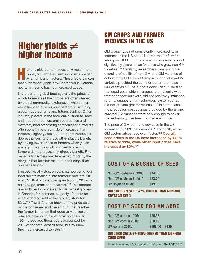# Higher yields  $\neq$ higher income

H igher yields do not necessarily mean more money for farmers. Farm income is shaped by a number of factors. These factors mean that even when yields have increased in Canada, net farm income has not increased apace.

In the current global food system, the prices at which farmers sell their crops are often shaped by global commodity exchanges, which in turn are influenced by a number of factors, including global trade patterns and futures trading. Other industry players in the food chain, such as seed and input companies, grain companies and elevators, food processing companies and retailers often benefit more from yield increases than farmers. Higher yields and abundant stocks can depress prices, and these other players benefit by paying lower prices to farmers when yields are high. This means that if yields are high, farmers do not necessarily directly benefit. Final benefits to farmers are determined more by the margins that farmers make on their crop, than on absolute yield.

Irrespective of yields, only a small portion of our food dollars makes it into farmers' pockets. Of every \$1 that a consumer spends, only 20 cents, on average, reaches the farmer.118 This amount is even lower for processed foods. Wheat growers in Canada, for instance, see only 13 cents for a loaf of bread sold at the grocery store for \$2-3.<sup>119</sup> The difference between the price paid by the consumer and the amount that reaches the farmer is money that goes to wholesalers, retailers, taxes and transportation costs. In 1964, these additional costs accounted for 29% of the total cost of food, but by 2004 they had increased to 43%.120

## GM crops and farmer incomes in the US

GM crops have not consistently increased farm incomes in the US either. Net returns for farmers who grow GM Ht corn and soy, for example, are not significantly different than for those who grow non-GM varieties.121 Similarly, researchers comparing the overall profitability of non-GM and GM varieties of cotton in the US state of Georgia found that non-GM varieties provided the same or better returns as GM varieties.<sup>122</sup> The authors concluded, "The fact that seed cost, which increases dramatically with trait-enhanced cultivars, did not positively influence returns, suggests that technology system per se did not provide greater returns."123 In some cases, the production cost savings provided by the Bt and stacked GM varieties were only enough to cover the technology use fees that came with them.

The price of GM corn and soy seed in the US increased by 50% between 2001 and 2010, while GM cotton prices rose even faster.124 **Overall, seed prices in the US have increased by 140% relative to 1994, while other input prices have increased by 80%**. 125

## **Cost of a bushel of seed**

| Non-GM soybean in 1996: | \$14.80 |
|-------------------------|---------|
| Non-GM soybean in 2010: | \$33.70 |
| GM soybean in 2010:     | \$49.60 |

#### GM soybean seed: 47% higher than non-GM soybean seed

### **Cost of seed for an acre**

| Non-GM corn in 1996:    | \$26.65          |
|-------------------------|------------------|
| Non-GM corn in 2010:    | \$58.13          |
| <b>GM corn in 2010:</b> | $$108.50 - $120$ |

#### GM corn seed: 87-106% higher than non-GM corn seed

From Benbrook, 2012; based on data from the USDA.126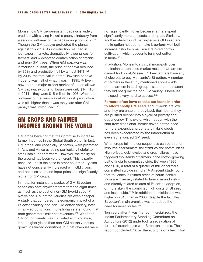Monsanto's GM virus-resistant papaya is widely credited with saving Hawaii's papaya industry from a serious outbreak of the papaya ringspot virus.<sup>127</sup> Though the GM papaya protected the plants against this virus, its introduction resulted in lost export markets, dramatically lower prices for farmers, and widespread contamination of organic and non-GM trees. When GM papaya was introduced in 1998, the price of papaya declined by 35% and production fell by almost 34%.128 By 2006, the total value of the Hawaiian papaya industry was half of what it was in 1995.<sup>129</sup> Even now that the major export market of Japan allows GM papaya, exports to Japan were only \$1-million in 2011 – they were \$15-million in 1996. When the outbreak of the virus was at its worst, production was still higher than it was ten years after GM papaya was introduced.130

## GM crops and farmer incomes around the world

GM crops have not met their promise to increase farmer incomes in the Global South either. In fact, GM crops, and especially Bt cotton, were promoted in Asia and Africa as being particularly helpful to small-scale, poor farmers. However, the reality on the ground has been very different. This is partly because – as is the case in other countries – yields have not consistently increased with GM crops, and because seed and input prices are significantly higher for GM crops.

In India, for instance, a packet of GM Bt cotton seeds can cost anywhere from three to eight times as much as the cost of non-GM hybrid seed.131 Native non-GM cotton varieties are even cheaper. A study that compared the economic impact of a Bt cotton variety and non-GM cotton variety, both in rain-fed conditions in one Indian state, found that both generated similar net revenues.<sup>132</sup> When the GM cotton variety was cultivated with irrigation, it had higher yields than non-GM cotton varieties grown in rain-fed conditions, but net revenues were

not significantly higher because farmers spent significantly more on seeds and inputs. Similarly, another study found that expensive GM seed and the irrigation needed to make it perform well both increase risks for small scale rain-fed cotton cultivation (which accounts for most cotton in India).133

In addition, Monsanto's virtual monopoly over the Indian cotton seed market means that farmers cannot find non-GM seed.134 Few farmers have any choice but to buy Monsanto's Bt cotton. A number of farmers in the study mentioned above – 40% of the farmers in each group – said that the reason they did not grow the non-GM variety is because the seed is very hard to access.<sup>135</sup>

**Farmers often have to take out loans in order to afford costly GM seed**, and, if yields are low and they are unable to pay back their loans, they are pushed deeper into a cycle of poverty and dependency. This cycle, which began with the shift from traditional, farmer-saved cotton seed to more expensive, proprietary hybrid seeds, has been exacerbated by the introduction of even higher-priced GM seed.

When crops fail, the consequences can be dire for resource-poor farmers, their families and communities. High prices, debt cycles and crop failures have triggered thousands of farmers in the cotton-growing belt of India to commit suicide. Between 1995 and 2010, a total of a quarter of million farmers committed suicide in India.136 A recent study found that "suicides in rainfed areas of south-central India are inversely related to farm size and yields and directly related to area of Bt cotton adoption, or more likely the combined high costs of Bt seed and insecticide."137 In addition, pesticide use was higher in 2013 than in 2000, despite the fact that Bt cotton's main promise was to reduce the need for insecticides.138

Ten years after it was first commercialized, the Indian Parliamentary Standing Committee on Agriculture (2012) undertook an evaluation of farmers' experiences with Bt cotton in India. Their report concluded: "After the euphoria of a few initial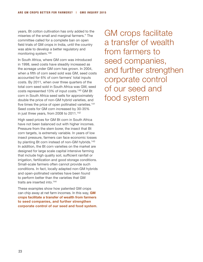years, Bt cotton cultivation has only added to the miseries of the small and marginal farmers." The committee called for a complete ban on open field trials of GM crops in India, until the country was able to develop a better regulatory and monitoring system.139

In South Africa, where GM corn was introduced in 1998, seed costs have steadily increased as the acreage under GM corn has grown. In 2004, when a fifth of corn seed sold was GM, seed costs accounted for 6% of corn farmers' total inputs costs. By 2011, when over three quarters of the total corn seed sold in South Africa was GM, seed costs represented 13% of input costs.140 GM Bt corn in South Africa seed sells for approximately double the price of non-GM hybrid varieties, and five times the price of open pollinated varieties.<sup>141</sup> Seed costs for GM corn increased by 30-35% in just three years, from 2008 to 2011.142

High seed prices for GM Bt corn in South Africa have not been balanced out with higher incomes. Pressure from the stem borer, the insect that Bt corn targets, is extremely variable. In years of low insect pressure, farmers can face economic losses by planting Bt corn instead of non-GM hybrids.<sup>143</sup> In addition, the Bt corn varieties on the market are designed for large scale capital intensive farming that include high quality soil, sufficient rainfall or irrigation, fertilization and good storage conditions. Small-scale farmers often cannot provide such conditions. In fact, locally adapted non-GM hybrids and open-pollinated varieties have been found to perform better than the varieties that GM traits are inserted into.144

These examples show how patented GM crops can chip away at net farm incomes. In this way, **GM crops facilitate a transfer of wealth from farmers to seed companies, and further strengthen corporate control of our seed and food system**.

GM crops facilitate a transfer of wealth from farmers to seed companies, and further strengthen corporate control of our seed and food system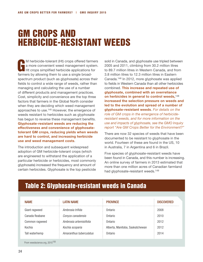# GM CROPS AND HERBICIDE-RESISTANT WEEDS

M herbicide-tolerant (Ht) crops offered farmers<br>a more convenient weed management system.<br>Ht crops simplified herbicide applications for a more convenient weed management system. Ht crops simplified herbicide applications for farmers by allowing them to use a single broadspectrum product (such as glyphosate) across their fields to control a wide range of weeds, rather than managing and calculating the use of a number of different products and management practices. Cost, simplicity and convenience are the top three factors that farmers in the Global North consider when they are deciding which weed management approaches to use.145 However, the emergence of weeds resistant to herbicides such as glyphosate has begun to reverse these management benefits. **Glyphosate-resistant weeds are reducing the effectiveness and convenience of glyphosatetolerant GM crops, reducing yields when weeds are hard to control, and increasing herbicide use and weed management costs**.

The introduction and subsequent widespread adoption of GM herbicide-tolerant crops (which are engineered to withstand the application of a particular herbicide or herbicides, most commonly glyphosate) increased the frequency and amount of certain herbicides. Glyphosate is the top pesticide

sold in Canada, and glyphosate use tripled between 2005 and 2011, climbing from 30.2 million litres to 89.7 million litres in Western Canada, and from 3.8 million litres to 12.3 million litres in Eastern Canada.146 In 2012, more glyphosate was applied to fields in Western Canada than all other herbicides combined. **This increase and repeated use of glyphosate, combined with an overreliance on herbicides in general to control weeds,**<sup>148</sup> **increased the selection pressure on weeds and led to the evolution and spread of a number of glyphosate-resistant weeds**. *For details on the role of GM crops in the emergence of herbicideresistant weeds, and for more information on the use and impacts of glyphosate, see the GMO Inquiry report "Are GM Crops Better for the Environment?"*

There are now 32 species of weeds that have been documented to be resistant to glyphosate in the world. Fourteen of these are found in the US, 10 in Australia, 7 in Argentina and 6 in Brazil.

Five species of glyphosate-resistant weeds have been found in Canada, and this number is increasing. An online survey of farmers in 2013 estimated that more than one million acres of Canadian farmland had glyphosate-resistant weeds.<sup>149</sup>

| <b>NAME</b>                               | <b>LATIN NAME</b>       | <b>PROVINCE</b>                 | <b>DISCOVERED</b> |
|-------------------------------------------|-------------------------|---------------------------------|-------------------|
| Giant ragweed                             | Ambrosia trifida        | Ontario                         | 2008              |
| Canada fleabane                           | Conyza canadensis       | Ontario                         | 2010              |
| Common ragweed                            | Ambrosia artemisiifolia | Ontario                         | 2012              |
| Kochia                                    | Kochia scoparia         | Alberta, Manitoba, Saskatchewan | 2012              |
| Tall waterhemp                            | Amaranthus tuberculatus | Ontario                         | 2014              |
| From weedscience.org, 2015 <sup>150</sup> |                         |                                 |                   |

## Table 2: Glyphosate-resistant weeds in Canada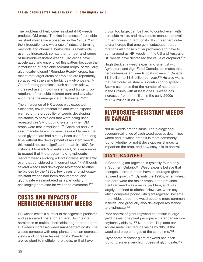The problem of herbicide-resistant (HR) weeds predates GM crops. The first instances of herbicideresistant weeds were observed in the 1950s<sup>151</sup> with the introduction and wider use of industrial farming methods and chemical herbicides. As herbicide use has increased, so has the number and range of herbicide-resistant weeds. GM crops have accelerated and entrenched this pattern because the introduction of herbicide-tolerant crops, particularly glyphosate-tolerant "Roundup Ready" crops, has meant that larger areas of cropland are repeatedly sprayed with the same herbicide – glyphosate.<sup>152</sup> Other farming practices, such as chem fallow, increased use of no-till systems, and tighter crop rotations of herbicide-tolerant corn and soy also encourage the emergence of Hr weeds.<sup>153,154</sup>

The emergence of HR weeds was expected. Scientists, environmentalists and weed experts warned of the probability of weeds developing resistance to herbicides that were being used repeatedly in GM cropping systems when GM crops were first introduced.155 Chemical and GM seed manufacturers however, assured farmers that since glyphosate had already been used for a long time without the development of resistant weeds, this would not be a significant threat. In 1997, for instance, Monsanto's scientists said, "it is reasonable to expect that the probability of glyphosateresistant weeds evolving will not increase significantly over that considered with current use."156 Although several weeds had developed resistance to other herbicides by the 1990s, few cases of glyphosateresistant weeds had been documented, and glyphosate was marketed as a particularly challenging herbicide for weeds to overcome.157

## Costs and impacts of herbicide-resistant weeds

HR weeds create a number of management problems and associated costs for farmers. Using extra herbicides or multiple herbicides together to control HR weeds increases weed management costs. The weeds compete with crop plants, and can decrease yields and increase harvest costs. Weeds that are resistant to multiple herbicides, or that have

grown too large, can be hard to control even with herbicide mixes, and may require manual removal, further increasing farm costs. Volunteer herbicidetolerant crops that emerge in subsequent crop rotations also pose similar problems and have to be managed as HR weeds. In the US and Australia, HR weeds have decreased the value of cropland.<sup>158</sup>

Hugh Beckie, a weed expert and scientist with Agriculture and Agri-Food Canada, estimates that herbicide-resistant weeds cost growers in Canada \$1.1-billion to \$1.5-billion per year.<sup>159</sup> He also warns that herbicide resistance is continuing to spread. Beckie estimates that the number of hectares in the Prairies with at least one HR weed has increased from 4.4 million in the early 2000s to 15.4 million in 2014.160

## Glyphosate-resistant weeds in Canada

Not all weeds are the same. The biology and geographical range of each weed species determines where and in which crops it is most commonly found, whether or not it develops resistance, its impact on the crop, and how easy it is to control.

#### **Giant Ragweed**

In Canada, giant ragweed is typically found only in Southern Ontario.<sup>161</sup> Weed experts believe that changes in crop rotation have encouraged giant ragweed growth.162 Up until the 1990s, when wheat and corn were the major crops in the province, giant ragweed was a minor problem, and was largely confined to ditches. However, when soy, which competes poorly with giant ragweed, became more widespread, the weed became more common in fields, and gradually also developed resistance to glyphosate.<sup>163</sup>

Poor control of giant ragweed can result in large yield losses: one plant per square meter can reduce soybean yields by 77%. In corn, 14 plants per square meter can reduce yields by 90% if the weed and crop emerges at the same time.<sup>164</sup>

Glyphosate-resistant giant ragweed has been found to survive very high doses of glyphosate.165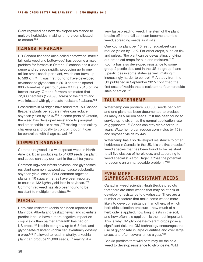Giant ragweed has now developed resistance to multiple herbicides, making it more complicated to control.166

#### **Canada Fleabane**

HR Canada fleabane (also called horseweed, mare's tail, coltsweed and butterweed) has become a major problem for farmers in Ontario. Fleabane has a wide range and spreads rapidly, producing up to one million small seeds per plant, which can travel up to 500 km.167 It was first found to have developed resistance to glyphosate in 2010 and then spread 800 kilometres in just four years.168 In a 2013 online farmer survey, Ontario farmers estimated that 72,800 hectares (179,890 acres) of their farmland was infested with glyphosate-resistant fleabane.<sup>169</sup>

Researchers in Michigan have found that 150 Canada fleabane plants per square metre can reduce soybean yields by 85%.<sup>170</sup> In some parts of Ontario, the weed has developed resistance to paraquat and other herbicides as well,  $171$  making it particularly challenging and costly to control, though it can be controlled with tillage as well.<sup>172</sup>

#### **Common Ragweed**

Common ragweed is a widespread weed in North America. It can produce up to 64,000 seeds per plant, and seeds can stay dormant in the soil for years.

Common ragweed infests soybean, and glyphosateresistant common ragweed can cause substantial soybean yield losses. Four common ragweed plants in 10 square metres have been reported to cause a 132 kg/ha yield loss in soybean.173 Common ragweed has also been found to be resistant to multiple herbicides.174

#### **Kochia**

Herbicide-resistant kochia has been reported in Manitoba, Alberta and Saskatchewan and scientists predict it could have a more negative impact on crop yields than palmer amaranth has had on US crops.175 Kochia can grow up to 6-8 feet, and glyphosate-resistant kochia can eventually destroy a crop.176 If allowed to reach maturity, a kochia plant can produce 25,000 seeds,<sup>177</sup> making it a

very fast-spreading weed. The stem of the plant breaks off in the fall so it can become a tumbleweed, spreading seeds as it rolls.

One kochia plant per 16 feet of sugarbeet can reduce yields by 12%. For other crops, such as flax and pulses, "the plant can be devastating, choking out broadleaf crops for sun and moisture."178 Kochia has also developed resistance to some group 2 pesticides, and in the US, to group 4 and 5 pesticides in some states as well, making it increasingly harder to control.179 A study from the US published in September 2015 confirmed the first case of kochia that is resistant to four herbicide sites of action.180

#### **Tall waterhemp**

Waterhemp can produce 300,000 seeds per plant, and one plant has been documented to produce as many as 5 million seeds.181 It has been found to survive up to six times the normal application rate of glyphosate.182 Seeds can stay viable for four years. Waterhemp can reduce corn yields by 15% and soybean yields by 44%.

Waterhemp has also developed resistance to other herbicides in Canada. In the US, it is the first broadleaf weed species that has been found to be resistant to all five classes of herbicides, and according to weed specialist Aaron Hager, it "has the potential to become an unmanageable problem."183

#### **Even more Glyphosate-Resistant weeds**

Canadian weed scientist Hugh Beckie predicts that there are other weeds that may be at risk of developing resistance to glyphosate. There are a number of factors that make some weeds more likely to develop resistance than others, of which herbicide selection pressure – how much of a herbicide is applied, how long it lasts in the soil, and how often it is applied – is the most important. This is why GM glyphosate-tolerant crops pose a significant risk: the GM technology encourages the use of glyphosate in large quantities and over large areas, and often several times a year.184

Beckie predicts that wild oats may be the next weed to develop resistance to glyphosate. Wild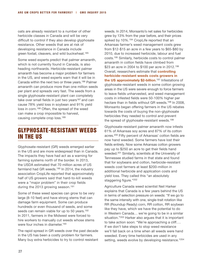oats are already resistant to a number of other herbicide classes in Canada and will be very difficult to control if they also develop glyphosate resistance. Other weeds that are at risk of developing resistance in Canada include green foxtail, cleavers, and wild buckwheat.185

Some weed experts predict that palmer amaranth, which is not currently found in Canada, is also heading northwards. Herbicide-resistant palmer amaranth has become a major problem for farmers in the US, and weed experts warn that it will be in Canada within the next two or three years.186 Palmer amaranth can produce more than one million seeds per plant and spreads very fast. The seeds from a single glyphosate-resistant plant can completely take over small fields in just two years<sup>187</sup> and can cause 78% yield loss in soybean and 91% yield loss in corn.188 Often, the spread of the weed can make a crop impossible to harvest, causing complete crop loss.189

## Glyphosate-resistant weeds in the US

Glyphosate-resistant (GR) weeds emerged earlier in the US and are more widespread than in Canada. The impacts they have had act as a warning for farming systems north of the border. In 2013, the USDA estimated that 70 million acres of US farmland had GR weeds.<sup>190</sup> In 2014, the industry association CropLife reported that approximately half of US growers said that hard-to-kill weeds were a "major problem" in their crop fields during the 2013 growing season.<sup>191</sup>

Some of these weed species can grow to be very large (8-10 feet) and have strong stems that can damage farm equipment. Some can produce hundreds or even thousand of seeds, and some seeds can remain viable for up to 50 years.<sup>192</sup> In 2011, farmers in the Midwest were forced to hire workers to manually cut weeds whose stems were four inches in diameter.<sup>193</sup>

The rapid spread in GR weeds over the past decade in the US has been a costly problem for farmers. Many buy extra herbicides to try to control resistant weeds. In 2014, Monsanto's net sales for herbicides grew by 13% from the year before, and their prices spiked by 10%.<sup>194</sup> CropLife reported that an Arkansas farmer's weed management costs grew from \$12-\$15 an acre in a few years to \$65-\$80 by 2010, due to increased herbicide, labour and fuel costs.195 Similarly, herbicide costs to control palmer amaranth in cotton fields have climbed from \$23 an acre in 2004 to \$100 per acre in 2012.196 Overall, researchers estimate that **controlling herbicide-resistant weeds costs growers in the US approximately \$2-billion**. 197 Infestations of glyphosate-resistant weeds in some cotton growing areas in the US were severe enough to force farmers to leave fields unharvested, and weed management costs in infested fields were 50-100% higher per hectare than in fields without GR weeds.<sup>198</sup> In 2008, Monsanto began offering farmers in the US rebates towards the costs of buying the non-glyphosate herbicides they needed to control and prevent the spread of glyphosate-resistant weeds.<sup>199</sup>

Glyphosate-resistant palmer amaranth now infests 61% of Arkansas soy acres and 87% of its cotton acres.200 Fifty percent of Arkansas' cotton fields are now hand weeded. Some farmers have lost their fields entirely. Now some Arkansas cotton growers pay up to \$250 an acre to get their fields hand weeded.201 Similarly, scientists at the University of Tennessee studied farms in that state and found that for soybeans and cotton, herbicide-resistant weeds cost farmers at least \$200-million in additional herbicide and application costs and yield loss. They called this "an absolutely staggering figure."202

Agriculture Canada weed scientist Neil Harker explains that Canada is a few years behind the US in terms of selection pressure on weeds: "If we go to the same intensity with one, single-trait rotation like RR (Roundup Ready) corn, RR cotton, RR soybean like they have, which we have the potential to do in Western Canada… we're going to be in a similar situation."<sup>203</sup> Harker also argues that it is important to take action soon: "We're approaching a cliff…. If we don't take steps to stop weed resistance we'll fall back on a time when all weeds were hand weeded. Every time herbicides are used in any setting, weeds evolve by developing resistance."<sup>204</sup>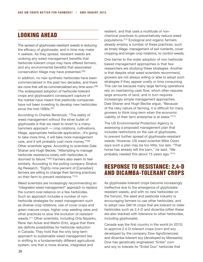## Looking ahead

The spread of glyphosate-resistant weeds is reducing the efficacy of glyphosate, and in time may make it useless. As they spread, resistant weeds are undoing any weed management benefits that herbicide-tolerant crops may have offered farmers, and any environmental benefits that associated conservation tillage may have presented.205

In addition, no new synthetic herbicides have been commercialized in the past two decades, and there are none that will be commercialized any time soon.206 The widespread adoption of herbicide-tolerant crops and glyphosate's consequent capture of the market have meant that pesticide companies have not been investing to develop new herbicides since the mid-1990s.<sup>207</sup>

According to Charles Benbrook, "The reality of weed management without the silver bullet of glyphosate is that we need to revert to a manyhammers approach — crop rotations, cultivations, tillage, appropriate herbicide application...It's going to take more time, it will take more management care, and it will probably cost more money."208 Other scientists agree. According to scientists Dale Shaner and Hugh Beckie, "Attempting to manage herbicide resistance solely with herbicides is doomed to failure."209 Farmers also seem to feel similarly. According to the polling company Stratus Ag Research, "Eighty-nine percent of [Canadian] farmers are willing to change their farming practices on their farm to prevent resistance."210

Weed scientists are increasingly recommending an "integrated weed management" approach to replace the current over-reliance on a few herbicides. Such an approach includes a number of nonherbicide strategies for weed management such as diverse crop rotations, use of cover crops and green manure crops, higher crop seeding rates and other practices to slow the evolution of resistant weeds.211 Other scientists, including Orla Nazarko, Rene Van Acker and Martin Entz, argue that there are definite possibilities for herbicide reduction in Canada. They hold that the only long-term approach to sustainable weed management lies in shifting to a fundamentally different agricultural system; one that is more diverse, integrated and

resilient, and that uses a multitude of nonchemical practices to preventatively reduce weed populations.212 Ecological and organic farmers already employ a number of these practices, such as timely tillage, management of soil nutrients, cover cropping and longer crop rotations, to control weeds.

One barrier to the wider adoption of non-herbicide based management approaches is that few researchers are studying these strategies. Another is that despite what weed scientists recommend, growers are not always willing or able to adopt such strategies if they appear costly or time consuming. This can be because many large farming operations rely on maintaining cash flow, which often requires large amounts of land, and in turn requires increasingly simple management approaches. Dale Shaner and Hugh Beckie argue, "Because of the risky nature of farming, it is difficult for many growers to think long-term when the economic viability of their farm enterprise is at stake."213

The US Environmental Protection Agency is assessing a proposed management plan that includes restrictions on the use of glyphosate, to prevent further spread of glyphosate-resistant weeds. However, US weed scientist Mike Owen says such a plan may be too little, too late. "That horse has already left the barn," he said. "We probably needed this about 15 years ago."214

## Response to resistance: 2,4-D and dicamba-tolerant crops

As glyphosate-tolerant crops become increasingly ineffective due to the emergence of glyphosateresistant weeds, and with no new herbicides on the horizon, the seed and pesticide industry is encouraging farmers to use other herbicides, and to adopt new GM Ht crops that are tolerant to older herbicides such as 2,4-D and dicamba (often these are also stacked with tolerance to other herbicides, including glyphosate).

Canada was the first country in the world (in 2012) to approve 2,4-D-tolerant crops (corn and soy developed by the company Dow AgroSciences) and dicamba-tolerant soy (developed by Monsanto). Dow has genetically engineered "Enlist" corn and soy to tolerate its "Enlist Duo" herbicide that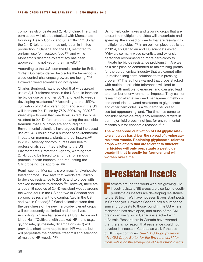combines glyphosate and 2,4-D choline. The Enlist corn seeds will also be stacked with Monsanto's Roundup Ready Corn 2 and SmartStax.215 (So far, the 2,4-D-tolerant corn has only been in limited production in Canada and the US, restricted to on-farm use for livestock feed,<sup>216</sup> and while Monsanto's dicamba-tolerant soy has been approved, it is not yet on the market).  $217$ 

According to the U.S. commercial leader for Enlist, "Enlist Duo herbicide will help solve the tremendous weed control challenges growers are facing."218 However, weed scientists do not agree.

Charles Benbrook has predicted that widespread use of 2,4-D-tolerant crops in the US could increase herbicide use by another 50%, and lead to weeds developing resistance.219 According to the USDA, cultivation of 2,4-D-tolerant corn and soy in the US will increase 2,4-D use by 75%-300% by 2020.220 Weed experts warn that weeds will, in fact, become resistant to 2,4-D, further perpetuating the pesticide treadmill that GM crops are encouraging.221 Environmental scientists have argued that increased use of 2,4-D could have a number of environmental impacts on mammals, plants and pollinators.<sup>222</sup> In 2012, seventy doctors, nurses and health professionals submitted a letter to the US Environmental Protection Agency, warning that 2,4-D could be linked to a number of serious potential health impacts, and requesting the GM crops not be approved.<sup>223</sup>

Reminiscent of Monsanto's promises for glyphosatetolerant crops, Dow says that weeds are unlikely to develop resistance to 2,4-D, and to crops with stacked herbicide tolerances.<sup>224</sup> However, there are already 16 species of 2,4-D-resistant weeds around the world (four in the US and two in Canada) and six species resistant to dicamba, (two in the US and two in Canada).<sup>225</sup> Weed scientists warn that the usefulness of the new herbicide-tolerant crops will consequently be limited and short-lived. According to Canadian scientists Hugh Beckie and Linda Hall, "Cultivars with stacked-HR traits (e.g., glyphosate, glufosinate, dicamba or 2,4-D) will provide a short-term respite from HR weeds, but will perpetuate the chemical treadmill and selection of multiple-HR weeds."226

Using herbicide mixes and growing crops that are tolerant to multiple herbicides will exacerbate and speed up the spread of weeds that are resistant to multiple herbicides.227 In an opinion piece published in 2014, six Canadian and US scientists asked: "Why are so many weed scientists and extension personnel recommending more herbicides to mitigate herbicide resistance problems?... Are we as a discipline so committed to maintaining profits for the agrochemical industry that we cannot offer up realistic long-term solutions to this pressing problem?" The authors warned that crops stacked with multiple herbicide tolerances will lead to weeds with multiple tolerances, and can also lead to a number of environmental impacts. They call for research on alternative weed management methods and conclude: "…weed resistance to glyphosate and other herbicides is a 'tsunami' still out to sea but approaching land. The time has come to consider herbicide-frequency reduction targets in our major field crops – not just for environmental reasons but for economic reasons."228

**The widespread cultivation of GM glyphosatetolerant crops has driven the spread of glyphosateresistant weeds. Replacing glyphosate-tolerant crops with others that are tolerant to different herbicides will only perpetuate a pesticide treadmill that is costly for farmers, and will worsen over time.**

# Bt-resistant insects

armers around the world who are growing GM<br>insect-resistant (Bt) crops are also facing costly<br>problems as insects are developing resistance I insect-resistant (Bt) crops are also facing costly problems as insects are developing resistance to the Bt toxin. We have not seen Bt-resistant pests in Canada yet. However, Canada has a number of similar crop pests to those found in the US where resistance has developed, and much of the GM grain corn we grow in Canada is stacked with a Bt trait. Researchers in Canada have warned that there is no reason that resistance could not develop in insects in Canada as well, if the use of Bt crops continues. *See GMO Inquiry's report "Are GM Crops Better for the Environment?" for more details on the emergence of Bt-resistant insects*.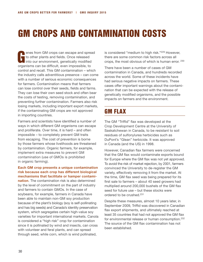# GM CROPS AND CONTAMINATION COSTS

enes from GM crops can escape and spread<br>to other plants and fields. Once released<br>into our environment, genetically modified to other plants and fields. Once released Into our environment, genetically modified organisms can be difficult, even impossible, to control and recall. This GM contamination – which the industry calls adventitious presence – can come with a number of serious economic consequences for farmers. Contamination means that farmers can lose control over their seeds, fields and farms. They can lose their own seed stock and often bear the costs of testing, removing contamination, and preventing further contamination. Farmers also risk losing markets, including important export markets, if the contaminating GM crops are not approved in importing countries.

Farmers and scientists have identified a number of ways in which different GM organisms can escape and proliferate. Over time, it is hard – and often impossible – to completely prevent GM traits from escaping. The cost of prevention is borne by those farmers whose livelihoods are threatened by contamination. Organic farmers, for example, implement extra measures to prevent GM contamination (use of GMOs is prohibited in organic farming).

#### **Each GM crop presents a unique contamination risk because each crop has different biological mechanisms that facilitate or hamper contami-**

**nation**. The contamination risk is also determined by the level of commitment on the part of industry and farmers to contain GMOs. In the case of soybeans, for example, farmers in Canada have been able to maintain non-GM soy production because of the plant's biology (soy is self-pollinating and has big seeds) and Canada's identity preservation system, which segregates certain high-value soy varieties for important international markets. Canola is considered a "high risk" crop for contamination since it is pollinated by wind and insects, can cross with volunteer and feral plants, and can spread through seed, while corn, which is wind pollinated,

is considered "medium to high risk."229 However, there are some common risk factors across all crops, the most obvious of which is human error. 230

There have been a number of cases of GM contamination in Canada, and hundreds recorded across the world. Some of these incidents have had serious negative impacts on farmers. These cases offer important warnings about the contamination that can be expected with the release of genetically modified organisms, and the possible impacts on farmers and the environment.

## GM Flax

The GM "Triffid" flax was developed at the Crop Development Centre at the University of Saskatchewan in Canada, to be resistant to soil residues of sulfonylurea herbicides such as DuPont's "Glean" herbicide. It was approved in Canada (and the US) in 1998.

However, Canadian flax farmers were concerned that the GM flax would contaminate exports bound for Europe where the GM flax was not yet approved. To avoid the risk of market rejection, by 2001, farmers convinced the University to de-register the GM variety, effectively removing it from the market. At the time, GM flax seed was being prepared for its first sale to farmers – about 40 seed growers had multiplied around 200,000 bushels of the GM flax seed for future use – but these stocks were ordered to be crushed.231

Despite these measures, almost 10 years later, in September 2009, Triffid was discovered in Canadian flax export shipments, and ultimately reached at least 35 countries that had not approved the GM flax for environmental release or human consumption.232 The source of the GM flax contamination has not been established.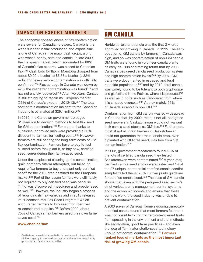#### **Impact on Export Markets**

The economic consequences of flax contamination were severe for Canadian growers. Canada is the world's leader in flax production and export; flax is one of Canada's five major cash crops, along with wheat, barley, oats and canola. In late 2009, the European market, which accounted for 68% of Canada's flax exports, was closed to Canadian flax.233 Cash bids for flax in Manitoba dropped from about \$9.90 a bushel to \$6.78 a bushel (a 32% reduction) even before contamination was officially confirmed.234 Flax acreage in Canada was down by 47% the year after contamination was found<sup>235</sup> and has not entirely recovered.<sup>236</sup> After five years, Canada is still struggling to regain its European market (25% of Canada's export in 2012/13).<sup>237</sup> The total cost of this contamination incident to the Canadian industry is estimated at \$29.1-million.238

In 2010, the Canadian government pledged \$1.9-million to develop methods to test flax seed for GM contamination.239 For a time, thanks to subsidies, approved labs were providing a 50% discount to farmers for testing costs.240 However, farmers are still bearing the long-term costs of GM flax contamination. Farmers have to pay to test all seed before they plant it, or buy new, certified seed, surrendering their farm-saved seed.

Under the auspices of cleaning up the contamination, grain company Viterra attempted, but failed, to require flax farmers to buy and plant only certified seed<sup>d</sup> for the 2010 crop destined for the European market.241 Part of the reason farmers were ultimately not required to buy certified seed was because Triffid was discovered in pedigree and breeder seed as well.<sup>242</sup> However, the industry began a process of rebuilding its flax varieties and in 2013 released its "Reconstituted Flax Seed Program," which encouraged farmers to buy seed from certified re-constituted supplies.243 Before 2009, about 75% of Canada's flax farmers used their own farmsaved seed.<sup>244</sup>

#### **www.cban.ca/flax**

## GM Canola

Herbicide-tolerant canola was the first GM crop approved for growing in Canada, in 1995. The early adoption of GM canola by farmers in Canada was high, and so was contamination of non-GM canola. GM traits were found in volunteer canola plants as early as 1998 and testing found that by 2003 Canada's pedigreed canola seed production system had high contamination levels.245 By 2007, GM traits were documented in escaped and feral roadside populations,<sup>246</sup> and by 2010, feral canola was widely found to be tolerant to both glyphosate and glufosinate in the Prairies, where it is produced $247$ as well as in ports such as Vancouver, from where it is shipped overseas.<sup>248</sup> Approximately 95% of Canada's canola is now GM.249

Contamination from GM canola was so widespread in Canada that, by 2002, most, if not all, pedigreed seed growers in Saskatchewan would not warrant their canola seed stocks as GM-free.<sup>250</sup> Furthermore, most, if not all, grain farmers in Saskatchewan could not guarantee that their canola crop, even if planted with GM-free seed, was free from GM contamination.251

In 2002, government researchers found 59% of the lots of certified canola seed they tested in Saskatchewan were contaminated.252 A year later, certified canola seed stocks were tested and 14 of the 27 unique, commercial certified canola seedlot samples failed the 99.75% cultivar purity guideline for certified canola seed.253 The case of GM canola shows that, even with the pedigreed seed sector's strict varietal purity management control systems and the economic incentive to ensure that these controls work, the seed industry was unable to prevent contamination.

A 2003 survey of Canadian farmers growing genetically modified canola found that most farmers felt that it was not possible to control herbicide-tolerant traits from spreading in the environment and that methods like segregation, good farm practices - and even the idea of Terminator sterile-seed technology - could not control contamination.254 **Farmers ranked loss of markets as the most important risk of growing GM canola**.

d Certified seed is seed that is certified to be true-to-type. It is inspected by a third-party agency, to meet quality assurance requirements of varietal purity, germination and freedom from impurities.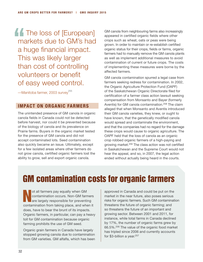**The loss of [European]** markets due to GM's had a huge financial impact. This was likely larger than cost of controlling volunteers or benefit of easy weed control.

—Manitoba farmer, 2003 survey<sup>255</sup>

#### **Impact on Organic Farmers**

The unintended presence of GM canola in organic canola fields in Canada could not be detected before harvest, nor could it be prevented because of the biology of canola and its prevalence on Prairie farms. Buyers in the organic market tested for the presence of GM canola and did not accept contaminated lots. Seed contamination also quickly became an issue. Ultimately, except for a few isolated areas where other farmers do not grow canola, certified organic farmers lost the ability to grow, sell and export organic canola.

GM canola from neighbouring farms also increasingly appeared in certified organic fields where other crops such as wheat, oats or peas were being grown. In order to maintain or re-establish certified organic status for their crops, fields or farms, organic farmers had to manually remove the GM canola plants as well as implement additional measures to avoid contamination of current or future crops. The costs of implementing these measures were borne by the affected farmers.

GM canola contamination spurred a legal case from farmers seeking redress for contamination. In 2002, the Organic Agriculture Protection Fund (OAPF) of the Saskatchewan Organic Directorate filed for certification of a farmer class action lawsuit seeking compensation from Monsanto and Bayer (formerly Aventis) for GM canola contamination.258 The claim alleged that when Monsanto and Aventis introduced their GM canola varieties, they knew, or ought to have known, that the genetically modified canola would spread and contaminate the environment, and that the companies had no regard for the damage these crops would cause to organic agriculture. The OAPF held that the loss of canola as an organic crop robbed organic farmers of a high-paying and growing market.259 The class action was not certified in Saskatchewan and the Supreme Court would not hear the appeal, and so, in 2007, the legal action ended without actually being heard in the courts.

# GM contamination costs for organic farmers

N ot all farmers pay equally when GM contamination occurs. Non-GM farmers are largely responsible for preventing contamination from taking place, and when it does, have to bear the brunt of its impacts. Organic farmers, in particular, can pay a heavy toll for GM contamination because organic farming prohibits the use of GM seed.

Organic grain farmers in Canada have largely stopped growing canola due to contamination from GM varieties. GM alfalfa, which has been approved in Canada and could be put on the market in the near future, also poses serious risks for organic farmers. Such GM contamination threatens the future of organic farming; and so threatens the future of an important and growing sector. Between 2001 and 2011, for instance, while total farms in Canada declined by 17%, the number of organic farms grew by 66.5%.256 The value of the organic food market has tripled since 2006 and currently accounts for \$3-billion a year.<sup>257</sup>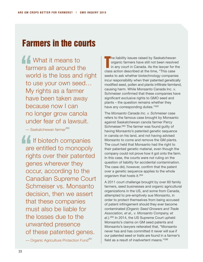## Farmers in the courts

**AC** What it means to farmers all around the world is the loss and right to use your own seed… My rights as a farmer have been taken away because now I can no longer grow canola under fear of a lawsuit.

 $-$  Saskatchewan farmer<sup>260</sup>

If biotech companies are entitled to monopoly rights over their patented genes wherever they occur, according to the Canadian Supreme Court Schmeiser vs. Monsanto decision, then we assert that these companies must also be liable for the losses due to the unwanted presence of these patented genes.

— Organic Agriculture Protection Fund<sup>261</sup>

T he liability issues raised by Saskatchewan organic farmers have still not been resolved in any court in Canada. As the lawyer for the class action described at the time, "This case seeks to ask whether biotechnology companies incur responsibility when their patented genetically modified seed, pollen and plants infiltrate farmland, causing harm. While Monsanto Canada Inc. v. Schmeiser confirmed that these companies have significant exclusive rights to GMO seed and plants – the question remains whether they have any corresponding duties."262

The *Monsanto Canada Inc. v. Schmeiser* case refers to the famous case brought by Monsanto against Saskatchewan canola farmer Percy Schmeiser.263 The farmer was found guilty of having Monsanto's patented genetic sequence in canola on his land, and not having advised Monsanto to come and remove the GM plants. The court held that Monsanto had the right to their patented genetic material, even though the company could not prove how it got onto the farm. In this case, the courts were not ruling on the question of liability for accidental contamination. The case did, however, confirm that the patent over a genetic sequence applies to the whole organism that hosts it.264

A 2011 court challenge brought by over 60 family farmers, seed businesses and organic agricultural organizations in the US, and some from Canada, attempted to pre-emptively sue Monsanto, in order to protect themselves from being accused of patent infringement should they ever become contaminated (*Organic Seed Growers and Trade Association, et al., v. Monsanto Company, et al.*).265 In 2014, the US Supreme Court upheld Monsanto's claims on GM seed patents and Monsanto's lawyers reiterated that, "Monsanto never has and has committed it never will sue if our patented seed or traits are found in a farmer's field as a result of inadvertent means."266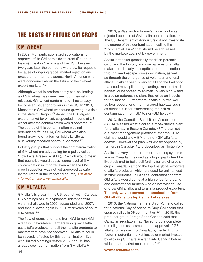## The costs of future GM crops

#### **GM Wheat**

In 2002, Monsanto submitted applications for approval of its GM herbicide-tolerant (Roundup Ready) wheat in Canada and the US. However, two years later the company withdrew its requests because of ongoing global market rejection and pressure from farmers across North America who were concerned about the future of their wheat export markets.267

Although wheat is predominantly self-pollinating and GM wheat has never been commercially released, GM wheat contamination has already become an issue for growers in the US. In 2013, Monsanto's GM wheat was found growing in a field in the state of Oregon.268 Japan, the US' largest export market for wheat, suspended imports of US wheat after the contamination was discovered.<sup>269</sup> The source of this contamination was not determined.270 In 2014, GM wheat was also found growing on a former field trial site at a university research centre in Montana.271

Industry groups that support the commercialization of GM wheat are advocating for a policy called "Low Level Presence" (LLP),272 which would mean that countries would accept some level of GM contamination in imports, even when the GM crop in question was not yet approved as safe by regulators in the importing country. *For more information see www.cban.ca/llp* 

#### **GM Alfalfa**

GM alfalfa is grown in the US, but not yet in Canada. US plantings of GM glyphosate-tolerant alfalfa were first allowed in 2005, suspended until 2007, and then allowed again in 2011 after years of court challenges.273

The flow of genes and traits from GM to non-GM alfalfa is unavoidable. Farmers who grow alfalfa, use alfalfa products, or sell their alfalfa products to markets that have not approved GM alfalfa could be severely affected by this contamination. Even with limited plantings before 2007, the US has already seen contamination from GM alfalfa.274

In 2013, a Washington farmer's hay export was rejected because of GM alfalfa contamination.275 The US Department of Agriculture did not investigate the source of this contamination, calling it a "commercial issue" that should be addressed by the marketplace, not by government.

Alfalfa is the first genetically modified perennial crop, and the biology and use patterns of alfalfa make it particularly susceptible to contamination through seed escape, cross-pollination, as well as through the emergence of volunteer and feral alfalfa.276 Alfalfa seed is very small and the likelihood that seed may spill during planting, transport and harvest, or be spread by animals, is very high. Alfalfa is also an outcrossing plant that relies on insects for pollination. Furthermore, alfalfa survives well as feral populations in unmanaged habitats such as ditches, further exacerbating the risk of contamination from GM to non-GM fields.277

In 2013, the Canadian Seed Trade Association (CSTA) released what it called a "coexistence plan" for alfalfa hay in Eastern Canada.<sup>278</sup> The plan set out "best management practices" that the CSTA claimed would allow GM and non-GM alfalfa to coexist. However the plan was widely opposed by farmers in Canada<sup>279</sup> and described as "fiction".<sup>280</sup>

Alfalfa is a very important crop in farming systems across Canada. It is used as a high quality feed for livestock and to build soil fertility for growing other crops. Canada is among the top five global exporters of alfalfa products, which are used for animal feed in other countries. In Canada, contamination from GM alfalfa would come at a high price for organic and conventional farmers who do not wish to use or grow GM alfalfa, and to alfalfa product exporters. **The only way to prevent contamination from GM alfalfa is to stop its market release**.

In 2013, the National Farmers Union-Ontario called for a national Day of Action to Stop GM alfalfa that spurred rallies in 38 communities.<sup>281</sup> In 2015, the producer group Forage Seed Canada said that Canadian regulators had "failed to do a complete due diligence assessment in the approval of GE alfalfa for release into Canada, by neglecting to factor in potential market losses or market impact by allowing GE traits in alfalfa into Canada before widespread market acceptance."282

**www.cban.ca/alfalfa**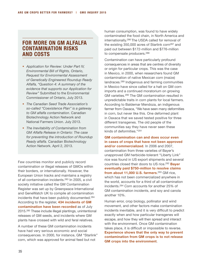#### **For More on GM Alfalfa Contamination Risks and Costs**

- *Application for Review: Under Part IV, Environmental Bill of Rights, Ontario, Request for Environmental Assessment of Genetically Engineered Roundup Ready Alfalfa, "Question 4: A summary of the evidence that supports our Application for Review"* Submitted to the Environmental Commissioner of Ontario, July 2013.
- *The Canadian Seed Trade Association's so-called "Coexistence Plan" is a gateway to GM alfalfa contamination*. Canadian Biotechnology Action Network and National Farmers Union. July 2013.
- *The Inevitability of Contamination from GM Alfalfa Release in Ontario: The case for preventing the introduction of Roundup Ready alfalfa.* Canadian Biotechnology Action Network. April 2, 2013.

Few countries monitor and publicly record contamination or illegal releases of GMOs within their borders, or internationally. However, the European Union tracks and maintains a registry of all contamination incidents.283 In 2005, a civil society initiative called the GM Contamination Register was set up by Greenpeace International and GeneWatch UK to compile all contamination incidents that have been publicly documented.284 According to the register, **434 incidents of GM contamination have been recorded** as of July 2015.285 These include illegal plantings, unintentional releases of GM seeds, and incidents where GM plants have crossed with wild and feral relatives.

A number of these GM contamination incidents have had very serious economic and social consequences. In 2000, for instance, GM "Starlink" corn, which was approved for animal feed but not

human consumption, was found to have widely contaminated the food chain, in North America and internationally.286 The USDA called for removal of the existing 350,000 acres of Starlink corn<sup>287</sup> and paid out between \$172-million and \$776-million to compensate producers.288

Contamination can have particularly profound consequences in areas that are centres of diversity or origin for particular crops. This was the case in Mexico, in 2000, when researchers found GM contamination of native Mexican corn (maize) landraces.289 Indigenous and farming communities in Mexico have since called for a halt on GM corn imports and a continued moratorium on growing GM varieties.290 The GM contamination resulted in unpredictable traits in corn plants for local farmers. According to Baldemar Mendoza, an indigenous farmer from Oaxaca, "We have seen many deformities in corn, but never like this. One deformed plant in Oaxaca that we saved tested positive for three different transgenes. The old people of the communities say they have never seen these kinds of deformities."291

**GM contamination can and does occur even in cases of crops that have not been approved and/or commercialized**. In 2006 and 2007, contamination from three varieties of Bayer's unapproved GM herbicide-tolerant "Liberty Link" rice was found in US export shipments and several countries closed their doors to US rice.292 **Bayer eventually paid \$750-million to resolve claims from about 11,000 U.S. farmers**. 293 GM rice, which has not been commercialized anywhere in the world, accounts for a third of all contamination incidents.294 Corn accounts for another 25% of GM contamination incidents, and soy and canola another 10%.

Human error, crop biology, pollinator and wind movement, and other factors make contamination incidents inevitable, and it is very difficult to predict exactly when and how particular transgenes will escape, and how they will then spread and interact with the environment. Once GM contamination takes place, it is difficult or impossible to reverse. **Experience shows that the only way to prevent contamination from GM crops is to not release GM crops into the environment**.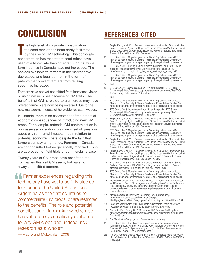# **CONCLUSION** REFERENCES CITED

T he high level of corporate consolidation in the seed market has been partly facilitated by the use of GM technology. This corporate concentration has meant that seed prices have risen at a faster rate than other farm inputs, while farm incomes in Canada have not increased. The choices available to farmers in the market have decreased, and legal control, in the form of patents that prevent farmers from reusing seed, has increased.

Farmers have not yet benefitted from increased yields or rising net incomes because of GM traits. The benefits that GM herbicide-tolerant crops may have offered farmers are now being reversed due to the new management costs of herbicide-resistant weeds.

In Canada, there is no assessment of the potential economic consequences of introducing new GM crops. For example, potential GM contamination is only assessed in relation to a narrow set of questions about environmental impacts, not in relation to potential economic costs, despite the fact that farmers can pay a high price. Farmers in Canada are not consulted before genetically modified crops are approved, for field trials or commercial release.

Twenty years of GM crops have benefitted the companies that sell GM seeds, but have not always benefitted farmers.

**Farmer experiences regarding this** technology have yet to be fully studied for Canada, the United States, and Argentina as the first countries to commercialize GM crops, or are restricted to the benefits. The role and potential contribution of farmer knowledge also has yet to be systematically evaluated for any GM crops and, indeed, risk research as a whole<sup>295</sup>

— Mauro and McLachlan, 2008

- 1 Fuglie, Kieth, et al. 2011. Research Investments and Market Structure in the Food Processing, Agricultural Input, and Biofuel Industries Worldwide. United States Department of Agriculture, Economic Research Service, Economic Research Report Number 130. December.
- 2 ETC Group. 2015. Mega-Mergers in the Global Agricultural Inputs Sector: Threats to Food Security & Climate Resilience, Presentation. October 30. http://etcgroup.org/content/mega-mergers-global-agricultural-inputs-sector
- 3 ETC Group. 2013. Putting the Cartel before the Horse...and Farm, Seeds, Soil and Peasants etc: Who Will Control Agricultural Inputs, 2013? http://www.etcgroup.org/putting\_the\_cartel\_be- fore\_the\_horse\_2013
- 4 ETC Group. 2015. Mega-Mergers in the Global Agricultural Inputs Sector: Threats to Food Security & Climate Resilience, Presentation. October 30. http://etcgroup.org/content/mega-mergers-global-agricultural-inputs-sector
- 5 Ibid.
- 6 ETC Group. 2013. Gene Giants Seek "Philanthrogopoly". ETC Group Communiqué. http://www.etcgroup.org/sites/www.etcgroup.org/files/ETC-CommCharityCartel\_March2013\_final.pdf
- 7 Ibid.
- 8 ETC Group. 2015. Mega-Mergers in the Global Agricultural Inputs Sector: Threats to Food Security & Climate Resilience, Presentation. October 30. http://etcgroup.org/content/mega-mergers-global-agricultural-inputs-sector
- 9 ETC Group. 2013. Gene Giants Seek "Philanthrogopoly". ETC Group Communiqué. http://www.etcgroup.org/sites/www.etcgroup.org/files/ ETCCommCharityCartel\_March2013\_final.pdf
- 10 Fuglie, Kieth, et al. 2011. Research Investments and Market Structure in the Food Processing, Agricultural Input, and Biofuel Industries Worldwide. United States Department of Agriculture, Economic Research Service, Economic Research Report Number 130. December.
- 11 ETC Group. 2015. Mega-Mergers in the Global Agricultural Inputs Sector: Threats to Food Security & Climate Resilience, Presentation. October 30. http://etcgroup.org/content/mega-mergers-global-agricultural-inputs-sector
- 12 Fuglie, Kieth, et al. 2011. Research Investments and Market Structure in the Food Processing, Agricultural Input, and Biofuel Industries Worldwide. United States Department of Agriculture, Economic Research Service, Economic Research Report Number 130. December.
- 13 Fuglie, Kieth, et al. 2011. Research Investments and Market Structure in the Food Processing, Agricultural Input, and Biofuel Industries Worldwide. United States Department of Agriculture, Economic Research Service, Economic Research Report Number 130. December. Page 25.
- 14 ETC Group. 2013. Putting the Cartel before the Horse...and Farm, Seeds, Soil and Peasants etc: Who Will Control Agricultural Inputs? http://www. etcgroup.org/putting\_the\_cartel\_be- fore\_the\_horse\_2013
- 15 ETC Group. 2015. Mega-Mergers in the Global Agricultural Inputs Sector: Threats to Food Security & Climate Resilience, Presentation. October 30. http://etcgroup.org/content/mega-mergers-global-agricultural-inputs-sector
- 16 Monsanto Company and Dow AgroSciences LLC. 2006. Dow AgroSciences and Monsanto Reach Global Agreement, Creating New Choices for Farmers, Press Release. January 18. http://news.monsanto.com/press-release/ dow-agrosciences-and-monsanto-reach-global-agreement-creating-newchoices-farmers
- Monsanto Canada. Identifying See Piracy in Your Community. http://www.monsanto.ca/ourcommitments/Pages/ IdentifyingIssuesofSeedPiracyinyourCommunity.aspx Accessed Nov 2, 2015
- 18 Food and Water Watch. 2013. Monsanto: A Corporate Profile. http://www. foodandwaterwatch.org/reports/monsanto-a-corporate-profile/
- 19 Center for Food Safety. 2012. Monsanto v. U.S. Farmers: 2012 Update. http://www.centerforfoodsafety.org/files/monsanto-v-us-farmer-2012-updatefinal\_98931.pdf
- 20 Ban Terminator Campaign. http://www.banterminator.org/
- 21 ETC Group. 2015. Brazil Aims to Torpedo International Moratorium on Terminator Seeds: Farmers' Rights and Food Sovereignty Under Fire, Press Release. October 2. http://www.etcgroup.org/content/brazil-aims-torpedointernational-moratorium-terminator-seeds
- 22 National Farmers Union. 2013. Farmers Before Corporate Profit. http://www. nfu.ca/sites/www.nfu.ca/files/Farmer%20Handout%20for%20April%209%20 Rallies.pdf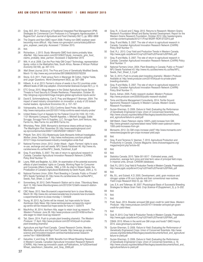- 23 Gray, M.E. 2011. Relevance of Traditional Integrated Pest Management (IPM) Strategies for Commercial Corn Producers in a Transgenic Agroecosystem: A Bygone Era? *Journal of Agricultural and Food Chemistry* 59(11), pp. 5852–5858
- 24 The Organic and Non-GMO report 2008. Finding non-GMO soybean seed becoming more difficult. http://www.non-gmoreport.com/articles/jul08/nongmo\_soybean\_seed.php. Accessed: 7 October 2015.
- 25 Ibid.
- 26 Richardson, J. 2013. Study: Monsanto GMO food claims probably false. *AlterNet*. http://www.salon.com/2013/06/27/study\_monsanto\_gmo\_food\_ claims\_probably\_false\_partner/. Accessed: 2 September 2015
- 27 Witt, H. et al. 2006. Can the Poor Help GM Crops? Technology, representation & cotton in the Makhathini flats, South Africa. *Review of African Political Economy* 33(109), pp. 497–513.
- 28 *Wall Street Journal*. 2010. The Pros and Cons of Genetically Modified Seeds. March 15. http://www.wsj.com/articles/SB126862629333762259
- 29 Stone, G.D. 2011. Field versus Farm in Warangal: Bt Cotton, Higher Yields, and Larger Questions. *World Development* 39(3), pp. 387–398
- 30 Hilbeck, A. et al. 2013. Farmer's choice of seeds in four EU countries under different levels of GM crop adoption. *Environmental Sciences Europe* 25(1), p. 12.
- 31 ETC Group. 2015. Mega-Mergers in the Global Agricultural Inputs Sector: Threats to Food Security & Climate Resilience, Presentation. October 30. http://etcgroup.org/content/mega-mergers-global-agricultural-inputs-sector
- 32 David E. Schimmelpfennig, Carl E. Pray and Margaret F. Brennan. 2004. The impact of seed industry concentration on innovation: a study of US biotech market leaders. *Agricultural Economics* 30, p. 157–167.
- 33 Vishwanatha, Aruna. 2010. DOJ Confirms Seed Probe. *Main Justice*. http://www.mainjustice.com/2010/01/14/doj-confirms-seed-industry-probe/
- 34 United States Court of Appeals for the Federal Circuit 04-1532, 05-1120,- 1121 Monsanto Company, Plaintiff-Appellee, v. Mitchell Scruggs, Eddie Scruggs, Scruggs Farm & Supplies, LLC, Scruggs Farm Joint Venture, Hes Farms Inc, Mes Farms Inc and MHS Farms Inc.
- 35 Whoriskey, Peter. 2009. Monsanto's dominance draws antitrust inquiry. *The Washington Post*. November 29. http://www.washingtonpost.com/ wp-dyn/content/article/2009/11/28/AR2009112802471.html
- 36 Philpott, Tom. 2012. DOJ Mysteriously Quits Monsanto Antitrust Investigation. *Mother Jones*. December 1. http://www.motherjones.com/tom-philpott/ 2012/11/dojs-monsantoseed-industry-investigation-ends-thud
- 37 National Farmers Union. 2012. Under Attack Again: Farmers' rights to save, re-use, exchange and sell seeds. NFU Seeds Factsheet #6. http://www.nfu. ca/sites/www.nfu.ca/files/NFU\_Seeds\_Factsheet\_6.pdf
- 38 Gray, R and Malla, S. 2007. The rate of return to agricultural research in Canada. Canadian Agricultural Innovation Research Network (CAIRN) Policy Brief Number 11.
- 39 Loyns, RMA and Begleiter, AJ. 2004. An examination of the potential economic effects of plant breeders' rights on Canada, Working Paper for Consumer and Corporate Affairs Canada, 1984, p.109. As cited in Stolen Seeds: the Privatization of Canada's Agricultural Biodiversity by Devlin Kuyek, 2004, p. 10.
- 40 National Farmers Union. 2004. Plant Breeding in Canada: Public or Private? NFU Seeds Factsheet #3. http://www.nfu.ca/sites/www.nfu.ca/files/NFU\_ Seeds\_Fact\_Sheet\_3\_0.pdf
- 41 Sonnenberg, M. 2012. Delhi Research Station set to close. *Tillsonburg News*. April 12. http://www.tillsonburgnews.com/2012/04/12/delhi-research-stationset-to-close
- 42 CBC News. 2013. New Brunswick's experimental farm to close Monday. March 30. http://www.cbc.ca/news/canada/new-brunswick/new-brunswicks-experimental-farm-to-close-monday-1.1344029
- 43 Young, M. 2013. Ag Centre will be missed, but hope exists for future. *Kamloops Daily News*. http://www.kamloopsnews.ca/news/city-region/ ag-centre-will-be-missed-but-hope-exists-for-future-1.1225474
- 44 MacArthur, M. 2014. Northern Alta. eager to retain local ag research. *The Western Producer.* June 26. http://www.producer.com/2014/06/northernalta-eager-to-retain-local-ag-research/
- 45 Tait, Glenn. 2014. Push to private plant breeding shameful. *The Western Producer*. 17 April. http://www.producer.com/2014/04/push-to-privateplant-breeding-shameful/
- 46 Agriculture and Agri-Food Canada. Cereal Research Centre, Morden, Manitoba. Agriculture and Agri-Food Canada. http://www.agr.gc.ca/eng/ science-and-innovation/research-centres/manitoba/cereal-researchcentre/?id=1180643854086
- Galushko, V. and Gray, R. 2008. Benefits from Wheat Breeding Research in Western Canada. Canadian Agricultural Innovation Research Network (CAIRN), http://www.ag-innovation.usask.ca/Publications\_for%20Download/ Wheat\_rateofreturn\_Galushko\_and\_Gray\_2008.pdf.
- 48 Gray, R., A Guzel and C Nagy. 2012. Returns to Research: Western Grains Research Foundation Wheat and Barley Varietal Development. Report for the Western Grains Research Foundation, October 2012. http://westerngrains. com/wp-content/uploads/2012/11/Final-WGRF-ROR-STUDY2.pdf
- 49 Gray, R and Malla, S. 2007. The rate of return to agricultural research in Canada. Canadian Agricultural Innovation Research Network (CAIRN) Policy Brief Number 11.
- 50 Graf, R.J. .2013. Crop Yield and Production Trends in Western Canada. http://www.pgdc.ca/pdfs/wrt/Crop%20Yield%20Trends%20FINAL.pdf
- 51 Gray, R and Malla, S. 2007. The rate of return to agricultural research in Canada. Canadian Agricultural Innovation Research Network (CAIRN) Policy Brief Number 11
- 52 National Farmers Union. 2004. Plant Breeding in Canada: Public or Private? NFU Seeds Factsheet #3. http://www.nfu.ca/sites/www.nfu.ca/files/NFU\_ Seeds\_Fact\_Sheet\_3\_0.pdf
- 53 Tait, G. 2013. Push to private plant breeding shameful. *Western Producer.* Available at: http://www.producer.com/2014/04/push-to-private-plantbreeding-shameful.
- 54 Gray, R and Malla, S. 2007. The rate of return to agricultural research in Canada. Canadian Agricultural Innovation Research Network (CAIRN) Policy Brief Number 11.
- 55 Ewins, Adrian. 2005. Public research studied. *Western Producer.* http://www.producer.com/2005/05/public-research-studied/
- Toma and Bouma Management Consultants. 2014. Fertile Ground: Agronomic Research Capacity In Western Canada. Western Grains Research Foundation.
- 57 Gurian-Sherman, D. 2009. *Failure to Yield: Evaluating the Performance of Genetically Engineered Crops*. Union of Concernced Scientists. http://www.ucsusa.org/sites/default/files/legacy/assets/documents/food\_ and\_agriculture/failure-to-yield.pdf
- 58 GM Watch. Owen Paterson claims 1000% yield increase from GM. http://www.gmwatch.org/news/latest-news/16464-owen-paterson-claims-1000-yield-increases-from-gm
- 59 Monsanto. 2012. Do GM crops increase yield? http://www.monsanto.com/ newsviews/pages/do-gm-crops-increase-yield.aspx
- 60 Ibid.
- 61 Gray, R and Terrence S. Veeman, T. 2010. Agricultural Production and Productivity in Canada. *Choices Magazine*. www.choicesmagazine.org/ magazine/print.php?article=92
- 62 Ibid.

- 64 Statistics Canada. 2015. Table 001-0017 Estimated areas, yield, production, average farm price and total farm value of principal field crops, in imperial units, annual. CANSIM (database).
- 65 Graf, R.J. 2013. Crop Yield & Production Trends in Western Canada. Presentation. http://www.pgdc.ca/pdfs/wrt/Crop%20Yield%20Trends%20FINAL.pdf
- 66
- 67 Ma, B.L. and Subedi, K.D. 2005. Development, yield, grain moisture and nitrogen uptake of Bt corn hybrids and their conventional near-isolines. *Field Crops Research* 93(2-3), pp. 199–211
- 68 Lee, E.A. and Tollenaar, M. 2007. Physiological Basis of Successful Breeding Strategies for Maize Grain Yield. *Crop Science* 47(Supplement\_3), p. S–202.
- 69 Ibid.

- 71 Ibid.
- 72 Pratt, Sean. 2014. Breeder annoyed GM given credit for yield hikes. *Western Producer.* http://www.producer.com/2014/11/breeder-annoyed-gm-givencredit-for-yield-hikes/.
- $73$
- 74 Graf, R. 2013. Crop Yield & Production Trends in Western Canada. Presentation. http://www.pgdc.ca/pdfs/wrt/Crop%20Yield%20Trends%20FINAL.pdf
- 75 CBAN. 2015. Where in the world are GM crops and foods? GMO Inquiry 2015. www.gmoinquiry.ca/where.
- 76 Gurian-Sherman, D. 2009. *Failure to Yield: Evaluating the Performance of Genetically Engineered Crops*. Union of Concerned Scientists. http://www. ucsusa.org/sites/default/files/legacy/assets/documents/food\_and\_agriculture/ failure-to-yield.pdf
- 77 Gurian-Sherman, D. 2009. *Failure to Yield: Evaluating the Performance of Genetically Engineered Crops*. Union of Concerned Scientists. p. 16. http://www.ucsusa.org/sites/default/files/legacy/assets/documents/food\_and\_ agriculture/failure-to-yield.pdf

<sup>63</sup> Ibid.

<sup>70</sup> Ibid.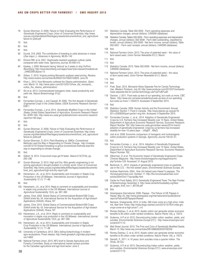- 78 Gurian-Sherman, D. 2009. *Failure to Yield: Evaluating the Performance of Genetically Engineered Crops*. Union of Concerned Scientists. http://www. ucsusa.org/sites/default/files/legacy/assets/documents/food\_and\_agriculture/ failure-to-yield.pdf
- 79 Ibid.
- 80 Ibid.
- 81 Ibid.
- 82 Duvick, D.N. 2005. The contribution of breeding to yield advances in maize (*Zea mays L.*). *Advances in Agronomy*. 86:83–145
- 83 Elmore RW, et al. 2001. Glyphosate-resistant soyabean cultivar yields compared with sister lines. *Agronomy Journal*. 93:408-412.
- 84 Kaskey, J. 2009. Monsanto facing 'distrust' as it seeks to stop DuPont. *Bloomberg*. http://www.bloomberg.com/apps/news?pid=newsarchive&sid=aii \_24MDZ8SU&pos=13
- 85 Gillam, C. 2010. Virginia probing Monsanto soybean seed pricing. *Reuters*. http://www.reuters.com/article/idUSN2515475920100625. June 25
- 86 Khan L. 2013. How Monsanto outfoxed the Obama administration. *Salon. com.* March 15. http://www.salon.com/2013/03/15/how\_did\_monsanto\_ outfox\_the\_obama\_administration/.
- 87 Shi et al. 2013. Commercialized transgenic traits, maize productivity and yield risk. *Nature Biotechnology* 31(2).
- 88 Ibid.
- 89 Fernandez-Cornejo, J. and Caswell, M. 2006. *The first decade of Genetically Engineered Crops in the United States*. USDA Economic Research Service - EIB11
- 90 Fernandez-Cornejo, J. et al. 2014. *Genetically Modified Crops in the United States*. United States Department of Agriculture. Economic Research Report No. (ERR-162). http://www.ers.usda.gov/publications/err-economic-researchreport/err162.aspx
- 91 Ibid.
- 92 Ibid.
- 93 Gurian-Sherman, D. 2009. *Failure to Yield: Evaluating the Performance of Genetically Engineered Crops*. Union of Concerned Scientists. http://www. ucsusa.org/sites/default/files/legacy/assets/documents/food\_and\_agriculture/ failure-to-yield.pdf
- 94 Gurian-Sherman, D. 2014. Plant Breeding vs. GMOs: Conventional Methods Lead the Way in Responding to Climate Change. http://civileats. com/2014/10/10/plant-breeding-vs-gmos-conventional-methods-lead-theway-in-responding-to-climate-change/.
- 95 Ibid.
- 96 Gilbert, N. 2014. Cross-bred crops get fit faster. *Nature* 513(7518), pp. 292–292
- 97 Gurian-Sherman, D. 2012. High and Dry: Why genetic engineering is not solving agriculture's drought problem in a thirsty world. Union of Concerned Scientists. http://www.ucsusa.org/sites/default/files/legacy/assets/documents/ food and agriculture/high-and-dry-report.pdf
- 98 Heinemann, JA., et al. 2014. Sustainability and Innovation in Staple Crop Production in the US Midwest. *International Journal of Agricultural Sustainability* 12 (1): 71–88.
- $99$
- 100 Heinemann, J.A., et al. 2014. Reply to comment on sustainability and innovation in staple crop production in the US Midwest. *International Journal of Agricultural Sustainability* 12(4), pp. 387–390
- 101 James, Clive. 2005. Global Status of Commercialized Biotech/GM Crops. ISAAA briefs No. 34. International Service for the Acquisition of Agri-biotech Applications (ISAAA): Ithaca, NY
- 102 James, Clive. 2012. Global Status of Commercialized Biotech/GM Crops. ISAAA briefs No. 43. International Service for the Acquisition of Agri-biotech Applications (ISAAA): Ithaca, NY.
- 103 Heinemann, J.A., et al. 2014. Reply to comment on sustainability and innovation in staple crop production in the US Midwest. *International Journal of Agricultural Sustainability* 12(4), pp. 387–390
- 104 Heinemann, JA., et al. 2014. Sustainability and Innovation in Staple Crop Production in the US Midwest. *International Journal of Agricultural Sustainability* 12 (1): 71–88
- 105 University of Canterbury. 2013. GM a failing biotechnology in modern agro-ecosystems. Press release. http://www.gmwatch.org/index.php/news/ rss/14802
- 106 National Farmers Union. 2015. NFU brief to Senate Agriculture and Forestry Committee. Study on international market access priorities for the Canadian agricultural and agri-food sector. June 2.
- 107 Statistics Canada. Table 002-0005 Farm operating expenses and depreciation charges, annual (dollars). CANSIM (database).
- 108 Statistics Canada. Tables 002-0005 Farm operating expenses and depreciation charges, annual (dollars); 002-0008 - Farm debt outstanding, classified by lender, annual (dollars); 002-0009 - Net farm income, annual (dollars); Table 002-0001 - Farm cash receipts, annual (dollars). CANSIM (database).
- 109 Ibid.
- 110 National Farmers Union. 2013. The price of patented seed the value of farm saved seed. *Union Farmer Newsletter* 61(1). March.
- 111 Ibid.
- 112 Ibid.
- 113 Statistics Canada. 2015. Table 002-0009 Net farm income, annual (dollars). CANSIM (database).
- 114 National Farmers Union. 2013. The price of patented seed the value of farm saved seed. *Union Farmer Newsletter* 61(1). March.

- 116 Ibid.
- 117 Pratt, Sean. 2012. Monsanto Nixes Separate Fee for Canola Technology Use. *Western Producer*, July 20. http://www.producer.com/2012/07/monsantonixes-separate-fee-for-canola-technology-use%e2%80%a9/.
- 118 Davison, J. 2011. Food eats up less of our spending, but costs us more. *CBC News.* http://www.cbc.ca/news/canada/food-eats-up-less-of-our-spendingbut-costs-us-more-1.1054574. Accessed: 9 September 2015
- 119 Ibid.
- 120 Statistics Canada. 2009. Human Activity and the Environment: Annual Statistics: Section 1: Food in Canada. http://www.statcan.gc.ca/pub/16- 201-x/2009000/part-partie1-eng.htm. Accessed: 9 September 2015.
- 121 Fernandez-Cornejo, J., et al., 2014. Adoption of Genetically Engineered Crops by U.S. Farmers Has Increased Steadily over 15 Years. United States Department of Agriculture Economic Research Service, Economic Research Report Number 162. http://www.ers.usda.gov/amber-waves/2014-march/ adoption-of-genetically-engineered- crops-by-us-farmers-has-increasedsteadily-for-over-15-years.aspx - .U5tgEF\_ 4BaQ
- 122 Jost et al. 2008. Economic comparison of transgenic and nontransgenic cotton production systems in Georgia. *Agronomy Journal* 100:42–51.
- 123 Ibid.
- 124 Fernandez-Cornejo, J., et al., 2014. Adoption of Genetically Engineered Crops by U.S. Farmers Has Increased Steadily over 15 Years. United States Department of Agriculture Economic Research Service, Economic Research Report Number 162.
- Zilberman, D. et al. The Economic Impact of Genetically Engineered Crops. *Choices Magazine*. http://www.choicesmagazine.org/magazine/print. php?article=129. Accessed: 31 August 2015.
- 126 Benbrook, C., 2012. Impacts of genetically engineered crops on pesticide use in the U.S. – the first sixteen years. *Environmental Sciences Europe*, 24.
- 127 Andrew Hashimoto. 2004. How UH helped save Hawai'i's papayas, *The Honoluluadvertiser.com.* October 17. http://the.honoluluadvertiser.com/ article/2004/Oct/17/op/op08p.html
- 128 Center for Food Safety. 2013. Genetically Engineered Trees: The New Frontier of Biotechnology. November 4. http://www.centerforfoodsafety.org/files/ ge\_pages\_final\_nov-1\_80728.pdf

- 130 Greenpeace International. 2006. Papaya The Failure of GE Papaya in Hawaii. May 25. http://www.greenpeace.org/international/en/publications/ reports/FailureGEPapayainHawaii/
- 131 Nemana, Vivekananda. 2012. In India, GM crops come at a high price. I*ndia Ink, New York Times*. http://india.blogs.nytimes.com/2012/10/16/in-india-gmcrops-come-at-a-high-price/?\_r=0
- Romeu-Dalmau, C. et al. 2015. Asiatic cotton can generate similar economic benefits to Bt cotton under rainfed conditions. *Nature Plants* 1(6), p. 15072.
- 133 Gutierrez, A.P. et al. 2015. Deconstructing Indian cotton: weather, yields, and suicides. *Environmental Sciences Europe* 27(1). http://www.enveurope.com/ content/27/1/12.
- 134 Wall Street Journal. 2010. The Pros and Cons of Genetically Modified Seeds. March 15. http://www.wsj.com/articles/SB126862629333762259
- Romeu-Dalmau, C. et al. 2015. Asiatic cotton can generate similar economic benefits to Bt cotton under rainfed conditions. Nature Plants 1(6), p. 15072
- 136 Sainath, P., 2011. In 16 years, farm suicides cross a quarter million. *The Hindu.* 29 Oct.
- 137 Gutierrez, A.P. et al. 2015. Deconstructing Indian cotton: weather, yields, and suicides. *Environmental Sciences Europe* 27(1). www.enveurope.com/ content/27/1/12.

<sup>115</sup> Ibid.

<sup>129</sup> Ibid.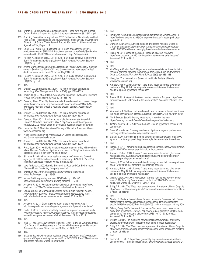- 138 Kranthi KR. 2014. Cotton production systems—need for a change in India. *Cotton Statistics & News*. http://caionline.in/ newsletters/issue\_38\_161214.pdf.
- 139 Standing Committee on Agriculture. 2012. Cultivation of Genetically Modified Food Crops - Prospects and Effects. New Delhi, India: Ministry of Agriculture. Fifteenth Lok Sabha. Thirty Seventh Report. 164.100.47.134/lsscommittee/ Agriculture/GM\_Report.pdf
- 140 Louw, C. & Fourie, P. 24th October, 2011. Seed prices for the 2011/12 production season. GRAIN SA. http://www.senwes.co.za/Article/Seed+price s+for+the+2011%2F2012+production+season.aspx?sflang=en-ZA
- 141 Fischer, K., van den Berg, J., et al. 2015. Is Bt maize effective in improving South African smallholder agriculture? *South African Journal of Science*  111(1/2), pp. 1–2
- 142 African Centre for Biosafety. 2012. Hazardous Harvest. Genetically modified crops in South Arica 2008-2012. http://www.acbio.org.za/images/stories/ dmdocuments/Hazardous%20Harvest-May2012.pdf
- 143 Fischer, K., van den Berg, J., et al. 2015. Is Bt maize effective in improving South African smallholder agriculture? *South African Journal of Science*  111(1/2), pp. 1–2
- 144 Ibid.
- 145 Shaner, D.L. and Beckie, H.J. 2014. The future for weed control and technology. *Pest Management Science* 70(9), pp. 1329–1339
- 146 Beckie, Hugh J., et al. 2014. Environmental Impact of Glyphosate-Resistant Weeds in Canada. *Weed Science* 62 (2): 385–92
- 147 Dawson, Allan. 2014. Glyphosate-resistant weeds a real and present danger. *Manitoba Co-operator*. http://www.manitobacooperator.ca/2014/02/13/ glyphosate-resistant-weeds-a-real-and-present-danger/. Accessed: 30 June 2015
- 148 Shaner, D.L. and Beckie, H.J. 2014. The future for weed control and technology. *Pest Management Science* 70(9), pp. 1329–1339
- 149 Dawson, Allan. 2013. A million acres of glyphosate-resistant weeds in Canada? *Manitoba Cooperator.* May 7. http://www.manitobacooperator. ca/2013/05/07/a-million-acres-of-glyphosate-resistant-weeds-in-canada
- 150 Heap, Ian. 2015. The International Survey of Herbicide Resistant Weeds. www.weedscience.org
- 151 Weed Science Society of America (WSSA). Herbicide Resistance. http://wssa.net/weed/resistance/
- 152 Shaner, D.L. and Beckie, H.J. 2014. The future for weed control and technology. *Pest Management Science* 70(9), pp. 1329–1339
- 153 Pratt, Sean. 2014. Herbicide resistant expert dreams of a day with no chem fallow. *Western Producer.* http://www.producer.com/daily/herbicide-resistantexpert-dreams-of-a-day-with-no-chem-fallow/
- 154 Sikkema, P. 2014. Glyphosate resistant weeds in Ontario. http://www1. agric.gov.ab.ca/\$Department/deptdocs.nsf/all/crop14718/\$FILE/au-2014 sikkema-glyphosate-resistant-weeds-in-ontario.pdf
- 155 Luke Anderson. 2000. Genetic Engineering. Food and Our Environment. Chelsea Green Publishing Company. Vermont.
- 156 Bradshaw et al. 1997. Perspectives on Glyphosate Resistance. *Weed Technology* 11, pp. 189-98
- 157 *Nature*. 2014. A growing problem. 510(7504), pp. 187–187. http://www.nature.com/news/a-growing-problem-1.15382
- 158 Arnason, R. 2015. Resistant weeds slash value of cropland. http://www. producer.com/2014/09/resistant-weeds-slash-value-of-cropland/
- Canola Council Of Canada 2015. Watch for herbicide-resistant weeds. *Alberta Farmer Express*. http://www.albertafarmexpress.ca/2015/05/14/ watch-for-herbicide-resistant-weeds/. Accessed: 30 June 2015.
- 160 Ibid.
- 161 Arnason, R. 2013. Giant ragweed out of place in Manitoba. Aug 1. http://www.producer.com/daily/giant-ragweed-out-of-place-in-manitoba/
- 162 Carter, J. 2015. Sybean's popularity blamed for ragweed invasion in fields. *Western Producer*. http://www.producer.com/2015/05/soybeans-popularityblamed-for-ragweed-invasion-in-fields/. Accessed: 29 June 2015.
- 163 Ibid.
- 164 Vink, J.P. et al. 2012. Glyphosate-Resistant Giant Ragweed (Ambrosia trifida L.) in Ontario: Dose Response and Control with Postemergence Herbicides. *American Journal of Plant Sciences* 03(05), pp. 608–617
- 165 Ibid.
- 166 Sikkema, P. 2014. Glyphosate resistant weeds in Ontario. http://www1.agric. gov.ab.ca/\$Department/deptdocs.nsf/all/crop14718/\$FILE/au-2014-sikkemaglyphosate-resistant-weeds-in-ontario.pdf
- 167 Ibid.
- 168 Field Crop News. 2015. Ridgetown Breakfast Meeting Minutes. April 14. http://fieldcropnews.com/2015/04/ridgetown-breakfast-meeting-minutesapril-7-2015/
- 169 Dawson, Allan. 2013. A million acres of glyphosate-resistant weeds in Canada? *Manitoba Cooperator.* May 7. http://www.manitobacooperator. ca/2013/05/07/a-million-acres-of-glyphosate-resistant-weeds-in-canada/
- 170 Raine, M. 2014. Weed of the Week: Fleabane. *Western Producer*. http://www.producer.com/2014/05/weed-of-the-week-canada-fleabane/. Accessed: 30 June 2015.
- 171 Ibid.
- 172 Ibid.
- 173 Van Wely, A.C. et al. 2015. Glyphosate and acetolactate synthase inhibitor resistant common ragweed ( Ambrosia artemisiifolia L.) in southwestern Ontario. *Canadian Journal of Plant Science* 95(2), pp. 335–338
- 174 Heap, Ian. The International Survey of Herbicide Resistant Weeds. www.weedscience.org.
- 175 Arnason, Robert. 2014. It doesn't take many seeds to spread glyphosate resistance. May 12. http://www.producer.com/daily/it-doesnt-take-manyseeds-to-spread-glyphosate-resistance/
- 176 Ibid.
- 177 Raine, M. 2015. Weed of the Week: Kochia. *Western Producer.* http://www. producer.com/2015/06/weed-of-the-week-kochia/. Accessed: 29 June 2015
- 178 Ibid.
- 179 Ibid.
- 180 Varanasi, V.K. Field-evolved resistance to four modes of action of herbicides in a single kochia (Kochia scoparia L. Schrad.) population. 71(9), pp. 1207–1212.
- 181 North Dakota State University. Waterhemp weed of the year. https://www.ag.ndsu.edu/weeds/weed-of-the-year-files/waterhemp
- 182 *Ontario Farmer.* 2015. Add Waterhemp to Ontario glyphosate-resistant list. January 27.
- 183 Bayer Cropscience. Five way resistance. http://www.bayercropscience.us/ learning-center/articles/five-way-resistant-weeds.
- 184 Barker, B. 2014. Predicting the next glyphosate-resistant weed. http://www. agannex.com/energy/predicting-the-next-glyphosate-resistant-weed-new
- 185 Ibid.
- 186 Isaacs, J. 2014. Palmer amaranth is a looming concern. http://www.grainews. ca/2015/01/21/palmer-amaranth-is-a-looming-concern/
- 187 Arnason, Robert. 2014. It doesn't take many seeds to spread glyphosate resistance. May 12. http://www.producer.com/daily/it-doesnt-take-manyseeds-to-spread-glyphosate-resistance/
- 188 Isaacs, J. 2014. Palmer amaranth is a looming concern. http://www.grainews. ca/2015/01/21/palmer-amaranth-is-a-looming-concern/
- 189 Arnason, Robert. 2014. It doesn't take many seeds to spread glyphosate resistance. May 12. http://www.producer.com/daily/it-doesnt-take-manyseeds-to-spread-glyphosate-resistance/
- 190 Gillam, Carey. 2014. U.S. Midwestern farmers fighting explosion of 'superweeds'. *Reuters*. http://www.reuters.com/article/2014/07/23/us-usaagriculture-weeds-idUSKBN0FS1VD20140723
- 191 Sfiligof, E. 2014. The Weed resistance problem: A matter of billions. CropLife. http://www.croplife.com/crop-inputs/herbicides/the-weed-resistance-problema-matter-of-billions/
- 192 Ibid.
- 193 Gustin, G. Resistant weeds leave farmers desperate: Business. http://www. stltoday.com/business/local/resistant-weeds-leave-farmers-desperate/ article\_f01139be-ace0-502b-944a-0c534b70511c.html. Accessed: 30 July 2014
- 194 Gillam, Carey. 2015a. Monsanto's move on Syngenta could mean move away from glyphosate. *Reuters*. http://www.reuters.com/article/2015/05/22/ syngenta-ag-ma-monsanto-glyphosate-idUSL1N0YC1ZC20150522. Accessed: 29 June 2015
- 195 Sfiligof, E. 2011. The high price of weed resistance. CropLife. http://www. croplife.com/editorial/eric\_sfiligoj/the-high-price-of-weed-resistance/
- 196 Sfiligof, E. 2014. The Weed resistance problem: A matter of billions. CropLife. http://www.croplife.com/crop-inputs/herbicides/the-weed-resistance-problema-matter-of-billions/
- 197 Ibid.
- 198 Benbrook, C., 2012. Impacts of genetically engineered crops on pesticide use in the U.S. – the first sixteen years. *Environmental Sciences Europe*, 24.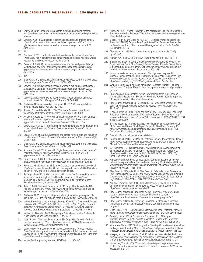- 199 Southeast Farm Press. 2008. Monsanto expanding herbicide rebates. http://southeastfarmpress.com/management/monsanto-expanding-herbiciderebates
- 200 Dawson, A. 2014. Glyphosate-resistant weeds a real and present danger. *Manitoba Co-operator.* http://www.manitobacooperator.ca/2014/02/13 /glyphosate-resistant-weeds-a-real-and-present-danger/. Accessed: 30 June 2015.
- 201 Ibid.
- 202 Brandon, H. 2011. Herbicide resistant weeds cost farmers millions. *Farm Press Blog*. http://deltafarmpress.com/soybeans/herbicide-resistant-weedscost-farmers-millions. Accessed: 30 June 2015
- 203 Dawson, A. 2014. Glyphosate-resistant weeds a real and present danger. *Manitoba Co-operator.* http://www.manitobacooperator.ca/2014/02/13/ glyphosate-resistant-weeds-a-real-and-present-danger/. Accessed: 30 June 2015.
- 204 Ibid.
- 205 Shaner, D.L. and Beckie, H.J. 2014. The future for weed control and technology. *Pest Management Science* 70(9), pp. 1329–1339
- 206 Dawson, A. 2014. Glyphosate-resistant weeds a real and present danger. *Manitoba Co-operator.* http://www.manitobacooperator.ca/2014/02/13/ glyphosate-resistant-weeds-a-real-and-present-danger/. Accessed: 30 June 2015
- 207 Duke SO. 2012. Why have no new herbicide modes of action appeared in recent years? *Pest Management Science*. 68:505-512.
- 208 Benbrook, Charles, quoted in Thompson, H. 2012. War on weeds loses ground. *Nature* 485(7399), pp. 430–430.
- 209 Shaner, D.L. and Beckie, H.J. 2014. The future for weed control and technology. *Pest Management Science* 70(9), pp. 1329–1339
- 210 Arnason, Robert. 2015. How will US glyphosate restrictions affect Canada? *Western Producer.* http://www.producer.com/2015/04/how-will-u-sglyphosate-restrictions-affect-canada. Accessed: 29 June 2015
- 211 Owen, M.D. et al. 2015. Integrated pest management and weed management in the United States and Canada. *Pest Management Science* 71(3), pp. 357–376
- 212 Nazarko, O.M. et al. 2005. Strategies and tactics for herbicide use reduction in field crops in Canada: A review. *Canadian Journal of Plant Science* 85(2), pp. 457–479.
- 213 Shaner, D.L. and Beckie, H.J. 2014. The future for weed control and technology. *Pest Management Science* 70(9), pp. 1329–1339
- 214 Arnason, Robert. 2015. How will US glyphosate restrictions affect Canada? *Western Producer.* http://www.producer.com/2015/04/how-will-u-sglyphosate-restrictions-affect-canada.
- 215 Fleury, Donna. 2014. Enlist weed control system in Canada. AgAnnex. April. http://www.agannex.com/energy/enlist-weed-control-system-in-canada
- 216 Reuters. 2014. Limited launch for new GM crop is unique says Dow official. *Western Producer*. November 20. http://www.producer.com/2014/11/limitedlaunch-for-new-gm-crop-is-unique-says-dow-official/
- 217 RealAgriculture, 2015. With US approval in place, 2016 targeted for launch of dicamba-tolerant soybeans in Canada. January 18. https://www. realagriculture.com/2015/01/u-s-approval-place-2016-targeted-launchdicamba-tolerant-soybeans-canada/
- 218 Keim, B. 2014. The Next Generation of GM Crops Has Arrived—And So Has the Controversy. *Wired*. http://www.wired.com/2014/06/the-future-ofbiotech-crops/. Accessed: 18 September 2015
- 219 Benbrook, C. 2012. Impacts of genetically engineered crops on pesticide use in the U.S. – the first sixteen years. *Environmental Sciences Europe*, 24
- 220 United States Department of Agriculture (USDA). 2013. *Dow AgroSciences Petitions (09 - 233 - 01p, 09 - 349 - 01p , and 11 - 234 - 01p) for Determinations of Nonregulated Status for 2,4 -D-Resistant Corn and Soybean Varieties Draft Environmental Impact Statement — 2013.* USDA APHIS
- 221 Mortensen, D.A. et al. 2012. Navigating a Critical Juncture for Sustainable Weed Management. *BioScience* 62(1), pp. 75–84
- 222 Keim, B. 2014. The Next Generation of GM Crops Has Arrived—And So Has the Controversy. *Wired.* http://www.wired.com/2014/06/the-future-ofbiotech-crops/. Accessed: 18 September 2015
- 223 Letter to EPA from seventy health scientists urging the Agency to reject Dow Chemical's application for commercial sale of 2,4-D resistant corn and soybeans. 2012. http://www.centerforfoodsafety.org/files/epa-24d-letter-from-70-health-scientists-2012june22\_71807.pdf
- 224 *Nature.* 2014. A growing problem. 510(7504), pp. 187–187.
- 225 Heap, Ian. 2014. Weeds Resistant to the herbicide 2,4-D. The International Survey of Herbicide Resistant Weeds. http://www.weedscience.org/summary/ ResistByActive.aspx
- 226 Beckie, Hugh J., and Linda M. Hall. 2014. Genetically-Modified Herbicide-Resistant (GMHR) Crops a Two-Edged Sword? An Americas Perspective on Development and Effect on Weed Management. *Crop Protection* 66 (December): 40–45.
- 227 Thompson, H. 2012. War on weeds loses ground. *Nature* 485(7399), pp. 430–430.
- 228 Harker, K.N. et al. 2012. Our View. *Weed Science* 60(2), pp. 143–144.
- 229 Eastham K, Sweet J. 2002. Genetically Modified Organisms (GMOs): the Significance of Gene Flow Through Pollen Transfer. Expert's Corner Series. European Environment Agency, Copenhagen. http://www.eea.europa.eu/ publications/environmental\_issue\_report\_2002\_28
- 230 In two separate incident, experimental GM pigs were misplaced in Canada. Polaris Institute. 2004. Unapproved Genetically Engineered Pigs Accidentally Used for Animal Feed…Again. Press Release. February 17 http://www.mindfully.org/GE/2004/Pigs-Animal-Feed17feb04.htm
- 231 Warick, J. 2001. GM Flax Seed Yanked Off Canadian Market Rounded Up, Crushed. *The Star Phoenix*. June23. http://www.rense.com/general11/ gm.htm
- 232 The Canadian Biotechnology Action Network monitored the European Commission's Rapid Alert System for Food and Feed in 2009 for reporting of flax contamination. See www.cban.ca/flax
- 233 Flax Council of Canada. 2015. Flax: 2009-2015 the Triffid Years, FlaxFocus. July. http://flaxcouncil.ca/wp-content/uploads/2015/07/Flax-focus-July-2015rev8.pdf
- 234 Klassen, Dwayne. 2009. Prairie flax bids fall over Europe's GMO concerns, Resource News International. *Alberta Farm Express.* September 4. http:// www.albertafarmexpress.ca/issues/ISArticle.asp?aid=1000340063&PC=FBC &issue=09042009
- 235 SJ Thompson, SJT Solutions. 2015. Investigating Value Added Potential of Flaxseed and Straw, Final Report Project for SaskFlax, February 23. http://www.saskflax.com/quadrant/media/Pdfs/Research/150223\_Final\_ Document\_Flax\_Value\_Added.pdf
- 236 See http://flaxcouncil.ca/resources/statistics/
- 237 Penner, Chuck. 2014. Flax Market Factors & Outlook. Presentation. January http://www.cropsphere.com/images/File/wp-content/CropSphere-2014-Flax-Market-Factors-Outlook-Chuck-Penner.pdf
- 238 SJ Thompson, SJT Solutions. 2015. Investigating Value Added Potential of Flaxseed and Straw, Final Report Project for SaskFlax, February 23. http://www.saskflax.com/quadrant/m223edia/Pdfs/Research/150223\_ Final\_Document\_Flax\_Value\_Added.pdf
- 239 Agriculture and Agri-Food Canada. 2010. Canadian government invests in flax industry innovation, Press release. February 19. Available at http:// www.marketwired.com/press-release/government-of-canada-invests-in-flaxindustry-innovation-1116545.htm
- 240 Flax Council of Canada. 2011. Flax Council of Canada Urges Growers to Test Planting Seed. March 24. http://www.flaxcouncil.ca/files/ web/Flax%20 Council%20of%20Canada%20Urges%20Growers%20to%20 Test%20Planting%20Seed%20-%20March%202011%20web%20rev.2.pdf
- 241 National Farmers Union. 2010. Grain Companies Exploit Flax Situation to Tighten Vise on Farmer Seed Saving, Press Release. January 18. http://www.cban.ca/content/view/full/617
- 242 Flax Council of Canada. Frequently Asked Questions: Why are you now recommending certified seed? Accessed November 2, 2015. http://flaxcouncil.ca/the-council/re-constituted-seed-program/faq/
- 243 Flax Council of Canada. Rebooting Canada's Flax Industry. Accessed November 2, 2015. http://flaxcouncil.ca/the-council/re-constituted-seedprogram/
- 244 Brian Cross. 2010. Flax Council OKs farm saved seed. *Western Producer*. March 4. http://www.producer.com/daily/flax-council-oks-farm-saved-seed/
- 245 Friesen, L et al. 20013. Evidence of Contamination of Pedigreed Canola(Brassica Napus) Seedlots in Western Canada with Genetically Engineered Herbicide Resistance Traits. *Agronomy Journal*. September.
- 246 Van Acker, Rene. 2013. Testimony to the Standing Committee on Agriculture and Agri-Food. Tuesday, March 5. http://www.parl.gc.ca/ HousePublications/ Publication.aspx?DocId=6024286&Language= E&Mode=1&Parl=41&Ses=1
- 247 Knispel, A.L., and McLachlan, S.M. 2010 Landscape-scale distribution and persistence of genetically modified oilseed rape (Brassica napus) in Manitoba, Canada. *Environmental Science and Pollution Research,* 17(1): 13-25.
- 248 Yoshimura, Y, et al. .2006. Transgenic oilseed rape along transportation routes and port of Vancouver in western Canada. *Environmental Biosafety Research*, 5: 67-75.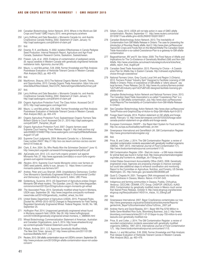- 249 Canadian Biotechnology Action Network. 2015. Where in the World are GM Crops and Foods? GMO Inquiry 2015. www.gmoinquiry.ca/where
- 250 Larry Hoffman and Dale Beaudoin v. Monsanto Canada Inc. and Aventis CropSceince Canada Holding. 2002. Statement of Claim. January 10. http://oapf.saskorganic.com/pdf/stmt-of-claim.pdf
- 251 Ibid.
- 252 Downie, R. K. and Beckie, H. 2002. Isolation Effectiveness in Canola Pedigree Seed Production. Internal Research Report, Agriculture and Agri-Food Canada, Saskatoon Research Centre, Saskatoon, Saskatchewan.
- Friesen, Lyle, et al. . 2003. Evidence of contamination of pedigreed canola (B. napus) seedlots in Western Canada with genetically engineered herbicide restistance traits. *Agronomy Journal* (95).
- 254 Mauro, I.J. and McLachlan, S.M. 2008. Farmer Knowledge and Risk Analysis: Postrelease Evaluation of Herbicide-Tolerant Canola in Western Canada. *Risk Analysis* 28(2), pp. 463–476
- 255 Ibid.
- 256 MacKinnon, Shauna. 2013.The National Organic Market: Growth, Trends, and Opportunities, 2013. Canada Organic Trade Association. https://ota.com/ sites/default/files/indexed\_files/COTA\_NationalOrganicMarketSummary.pdf
- 257 Ibid.
- 258 Larry Hoffman and Dale Beaudoin v. Monsanto Canada Inc. and Aventis CropSceince Canada Holding. 2002. Statement of Claim. January 10. http://oapf.saskorganic.com/pdf/stmt-of-claim.pdf
- 259 Organic Agriculture Protection Fund. The Class Action. Accessed Oct 27 2015. http://oapf.saskorganic.com/legal.html
- 260 Mauro, I.J. and McLachlan, S.M. 2008. Farmer Knowledge and Risk Analysis: Postrelease Evaluation of Herbicide-Tolerant Canola in Western Canada. *Risk Analysis* 28(2), pp. 463–476
- 261 Organic Agriculture Protection Fund. Saskatchewan Organic Farmers Take Biotech Giants to Court! Accessed Oct 21, 2015 http://oapf.saskorganic. com/pdf/OAPF\_Pamphlet\_06.pdf
- 262 Organic Agriculture Protection Fund. 2007. Organic farmers seed Supreme Court hearing, Press Release. August 1. http://web.archive.org/ web/20080513184827/http://www.saskorganic.com/oapf/pdf/MediaRelease-August1-07.pdf
- 263 Supreme Court Judgments. 2004. Monsanto Canada Inc. v. Schmeiser. Case number 29437. May 21 http://scc-csc.lexum.com/scc-csc/scc-csc/en/ item/2147/index.do
- 264 Clark, E. Ann. 2004. So, Who Really Won the Schmeiser Decision? June 10. http://www.plant.uoguelph.ca/research/homepages/eclark/pdf/sc.pdf
- 265 *AgCanada.com.* 2012. U.S. court turfs organic growers' suit against Monsanto Feb. 27. http://www.agcanada.com/daily/u-s-court-turfs-organicgrowers-suit-against-monsanto
- 266 *Reuters.* 2014. Supreme Court hands Monsanto victory over farmers on GMO seed patents, ability to sue. January 12. https://www.rt.com/usa/ monsanto-patents-sue-farmers-547/
- 267 Andree, Peter and Lucy Sharratt. 2009. Unsatisfactory Democracy: Conflict Over Monsanto's Genetically Engineered Wheat in *Environmental Conflict and Democracy in Canada* edited by Laurie E. Adkin, UBC Press.
- 268 Goldenburg, Suzanne. 2013. US Department of Agriculture probes Oregon Monsanto GM wheat mystery. *The Guardian*. June 22. http://www.theguardian. com/environment/2013/jun/22/agriculture-oregon-monsanto-gm-wheat
- 269 *The Associated Press.* 2014. Genetically modified wheat found in Montana, USDA says. September 28. http://www.oregonlive.com/pacific-northwestnews/index.ssf/2014/09/genetically\_modified\_wheat\_fou.html
- 270 United States Department of Agriculture (USDA). 2015. Proposed Rules. [Docket No. APHIS–2015–0070] Changes to Requirements for Field Testing Regulated Genetically Engineered Wheat. Federal Register, Vol.80, No. 186, September 25.
- 271 *Huffington Post.* 2014. Unapproved genetically engineered wheat found in Montana research field: USDA. Sep 26. http://www.huffingtonpost. com/2014/09/26/genetically-engineered-wheat-montana\_n\_5889594.html
- 272 Wheat Biotechnology Commercialization Statement of American, Australian and Canadian Organizations. June 5, 2014. http://www.wheatworld.org/ wp-content/uploads/Trilateral-Statement-June-2014.pdf
- 273 Pollack, Andrew. 2011. U.S. Approves Genetically Modified Alfalfa. *The New York Times.* January 27. http://www.nytimes.com/2011/01/28/ business/28alfalfa.html?\_r=0
- 274 Reuters. 2013. GM alfalfa contamination issue not USDA's concern. September 26. http://www.producer.com/2013/09/gm-alfalfa-contamination-issue-not-usdasconcern/
- 275 Gillam, Carey. 2013. USDA will not take action in case of GMO alfalfa contamination. *Reuters*. September 17. http://www.reuters.com/article/ 2013/09/17/usa-alfalfa-gmo-idUSL2N0HD1SQ20130917
- 276 Canadian Biotechnology Action Network. 2013. The Inevitability of Contamination from GM Alfalfa Release in Ontario: The case for preventing the introduction of Roundup Ready alfalfa. April 2. http://www.cban.ca/Resources/ Topics/GE-Crops-and-Foods-Not-on-the-Market/Alfalfa/The-Canadian-Seed-Trade-Association-s-so-called-Coexistence-Plan-is-a-gateway-to-GM-alfalfacontamination
- 277 Bagavathiannan, MV and R. Van Acker. 2009. The Feral Nature of Alfalfa and Implications for The Co-Existence of Genetically Modified (GM) and Non-GM Alfalfa. http://www.umanitoba.ca/outreach/naturalagriculture/articles/feral\_ alfalfa\_report\_final\_Aug09.pdf
- 278 Canadian Seed Trade Association. 2013. Planning for Choice A Coexistence Plan for Alfalfa Hay in Eastern Canada. http://cdnseed.org/facilitatingchoice-through-coexistence/
- 279 National Farmers Union, Grey County Local 344 and Region 3 (Ontario). 2012. Farmers Protest "Industry Spin" Designed to Facilitate Licensing of GM Alfalfa in Ontario: Policy of coexistence of GM alfalfa is "utterly absurd", say local farmers. Press Release. Oct 25. http://www.nfu.ca/story/farmers-protest- %E2%80%9Cindustry-spin%E2%80%9D-designed-facilitate-licensing-gmalfalfa-ontario
- 280 Canadian Biotechnology Action Network and National Farmers Union. 2013. The Canadian Seed Trade Association's so-called "Coexistence Plan" is a gateway to GM alfalfa contamination. July. http://www.cban.ca/Resources/ Tools/Reports/The-Inevitability-of-Contamination-from-GM-Alfalfa-Releasein-Ontario
- 281 See Canadian Biotechnology Action Network: http://www.cban.ca/Resources/ Tools/Photos-and-Graphics/Day-of-Action-to-Stop-GM-Alfalfa-April-9-2013
- 282 Forage Seed Canada. 2014. Position statement on GE alfalfa and forage seeds. February 12. http://www.fairviewpost.com/2015/03/25/forage-seedcanada-position-statement-on-ge-alfalfa-and-forage-seeds
- 283 European Commission. RASFF the Rapid Alert System for Food and Feed. http://ec.europa.eu/food/safety/rasff/index\_en.htm
- 284 Greenpeace International and GeneWatch UK. GM Contamination Register http://www.gmcontaminationregister.org/
- 285 Ibid.
- 286 Price, B. and Cotter, J. 2014. The GM Contamination Register: a review of recorded contamination incidents associated with genetically modified organisms (GMOs), 1997–2013. *International Journal of Food Contamination* 1(1). http://www.foodcontaminationjournal.com/content/1/1/5.
- 287 GM Contamination Register. USA StarLink maize a GM maize intended for animal feed was found in human food. http://www.gmcontaminationregister. org/index.php?content=re\_detail&gw\_id=11&reg=cou
- 288 United States Government Accountability Office (GAO). 2008. Genetically engineered crops: Agencies are proposing changes to improve oversight, but could take additional steps to enhance coordination and monitoring: Report to the Committee on Agriculture, Nutrition, and Forestry, US Senate. Washington, DC. http://www.gao. gov/assets/290/283060.pdf
- 289 Quist D, Chapela IH. 2001. Transgenic DNA introgressed into traditional maize landraces in Oaxaca, Mexico. *Nature*. 414:541-543.
- 290 Indigenous and farming communities in Oaxaca, Puebla, Chihuahua, Veracruz, CECCAM, CENAMI, ETC Group, CASIFOP, UNOSJO, AJAGI. 2003. Contamination by genetically modified maize in Mexico much worse than feared Press Release, October 9. http://www.etcgroup.org/sites/www. etcgroup.org/files/publication/145/01/nr\_maize\_10\_03eng3.pdf
- 291 Ibid.
- 292 Greenpeace International. 2007. Bayer CropScience contaminates our rice. http://www.greenpeace.org/austria/Global/austria/dokumente/Reports/ gentechnik\_Bayer%20contaminates%20our%20rice,\_2007.pdf
- 293 Andrew Harris and David Beasley. 2011. Bayer Will Pay \$750 Million to Settle Gene-Modified Rice Suits, Bloomberg Business. July 2. http://www. bloomberg.com/news/articles/2011-07-01/bayer-to-pay-750-million-to-endlawsuits-over-genetically-modified-rice
- 294 Price, B. and Cotter, J. 2014. The GM Contamination Register: a review of recorded contamination incidents associated with genetically modified organisms (GMOs), 1997–2013. *International Journal of Food Contamination*  1(1). http://www.foodcontaminationjournal.com/content/1/1/5.
- Mauro, I.J. and McLachlan, S.M. 2008. Farmer Knowledge and Risk Analysis: Post release Evaluation of Herbicide-Tolerant Canola in Western Canada. *Risk Analysis* 28(2), pp. 463–476.